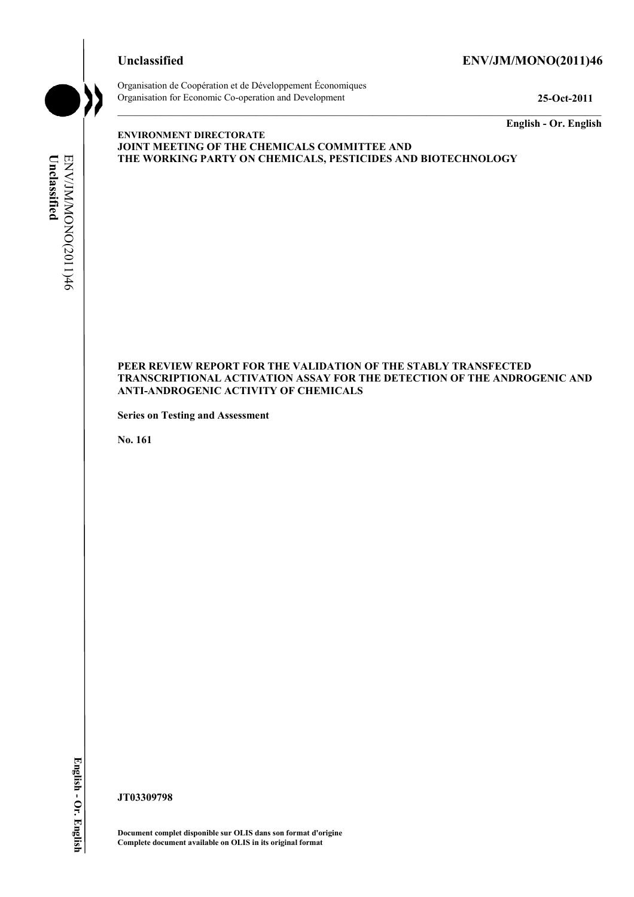#### **Unclassified ENV/JM/MONO(2011)46**



**Unclassified** 

Unclassified

Organisation de Coopération et de Développement Économiques Organisation for Economic Co-operation and Development **25-Oct-2011** 

**English - Or. English** 

# **ENV/JM/MONOC2011)46** ENV/JM/MONO(2011)46

#### **ENVIRONMENT DIRECTORATE JOINT MEETING OF THE CHEMICALS COMMITTEE AND THE WORKING PARTY ON CHEMICALS, PESTICIDES AND BIOTECHNOLOGY**

#### **PEER REVIEW REPORT FOR THE VALIDATION OF THE STABLY TRANSFECTED TRANSCRIPTIONAL ACTIVATION ASSAY FOR THE DETECTION OF THE ANDROGENIC AND ANTI-ANDROGENIC ACTIVITY OF CHEMICALS**

**Series on Testing and Assessment** 

**No. 161** 

**JT03309798** 

**Document complet disponible sur OLIS dans son format d'origine Complete document available on OLIS in its original format**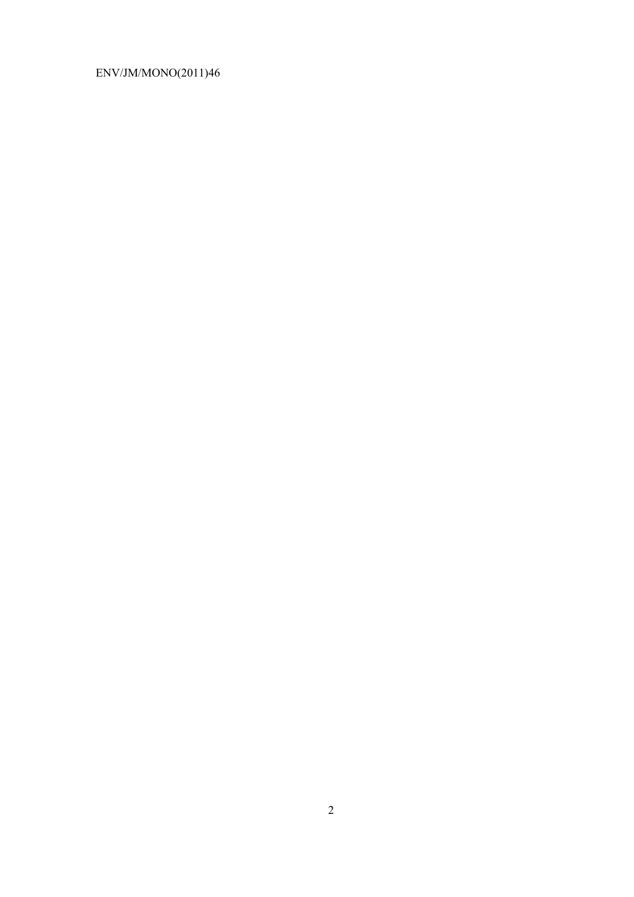## ENV/JM/MONO(2011)46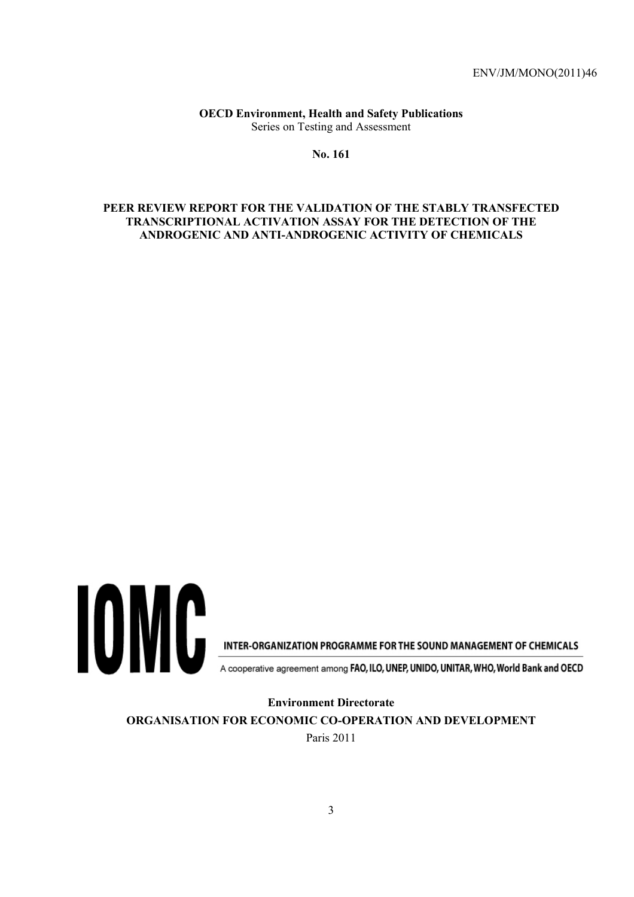**OECD Environment, Health and Safety Publications**  Series on Testing and Assessment

**No. 161** 

#### **PEER REVIEW REPORT FOR THE VALIDATION OF THE STABLY TRANSFECTED TRANSCRIPTIONAL ACTIVATION ASSAY FOR THE DETECTION OF THE ANDROGENIC AND ANTI-ANDROGENIC ACTIVITY OF CHEMICALS**



INTER-ORGANIZATION PROGRAMME FOR THE SOUND MANAGEMENT OF CHEMICALS

A cooperative agreement among FAO, ILO, UNEP, UNIDO, UNITAR, WHO, World Bank and OECD

**Environment Directorate ORGANISATION FOR ECONOMIC CO-OPERATION AND DEVELOPMENT** 

Paris 2011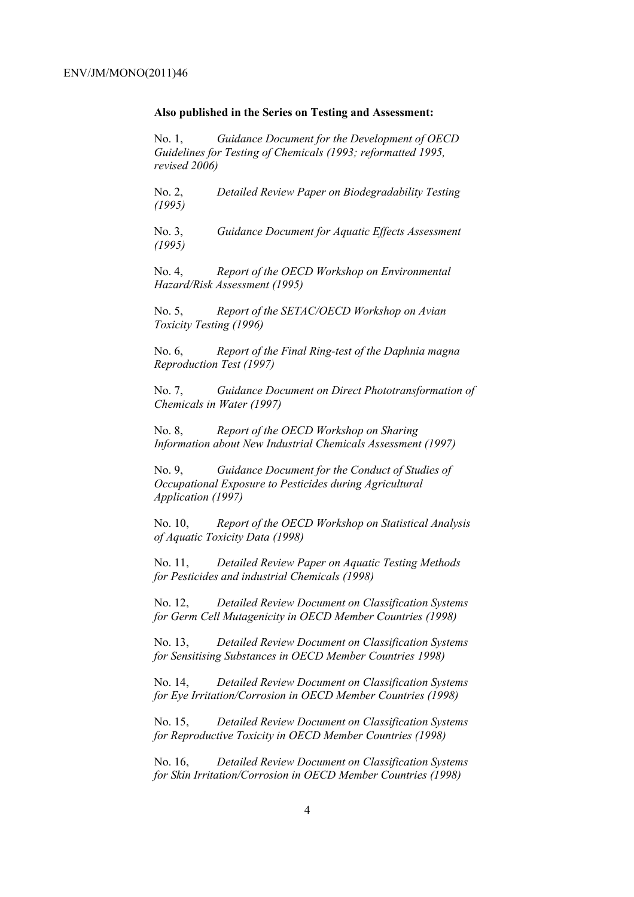#### **Also published in the Series on Testing and Assessment:**

No. 1, *Guidance Document for the Development of OECD Guidelines for Testing of Chemicals (1993; reformatted 1995, revised 2006)*

No. 2, *Detailed Review Paper on Biodegradability Testing (1995)*

No. 3, *Guidance Document for Aquatic Effects Assessment (1995)* 

No. 4, *Report of the OECD Workshop on Environmental Hazard/Risk Assessment (1995)*

No. 5, *Report of the SETAC/OECD Workshop on Avian Toxicity Testing (1996)*

No. 6, *Report of the Final Ring-test of the Daphnia magna Reproduction Test (1997)*

No. 7, *Guidance Document on Direct Phototransformation of Chemicals in Water (1997)* 

No. 8, *Report of the OECD Workshop on Sharing Information about New Industrial Chemicals Assessment (1997)*

No. 9, *Guidance Document for the Conduct of Studies of Occupational Exposure to Pesticides during Agricultural Application (1997)*

No. 10, *Report of the OECD Workshop on Statistical Analysis of Aquatic Toxicity Data (1998)*

No. 11, *Detailed Review Paper on Aquatic Testing Methods for Pesticides and industrial Chemicals (1998)*

No. 12, *Detailed Review Document on Classification Systems for Germ Cell Mutagenicity in OECD Member Countries (1998)*

No. 13, *Detailed Review Document on Classification Systems for Sensitising Substances in OECD Member Countries 1998)*

No. 14, *Detailed Review Document on Classification Systems for Eye Irritation/Corrosion in OECD Member Countries (1998)*

No. 15, *Detailed Review Document on Classification Systems for Reproductive Toxicity in OECD Member Countries (1998)*

No. 16, *Detailed Review Document on Classification Systems for Skin Irritation/Corrosion in OECD Member Countries (1998)*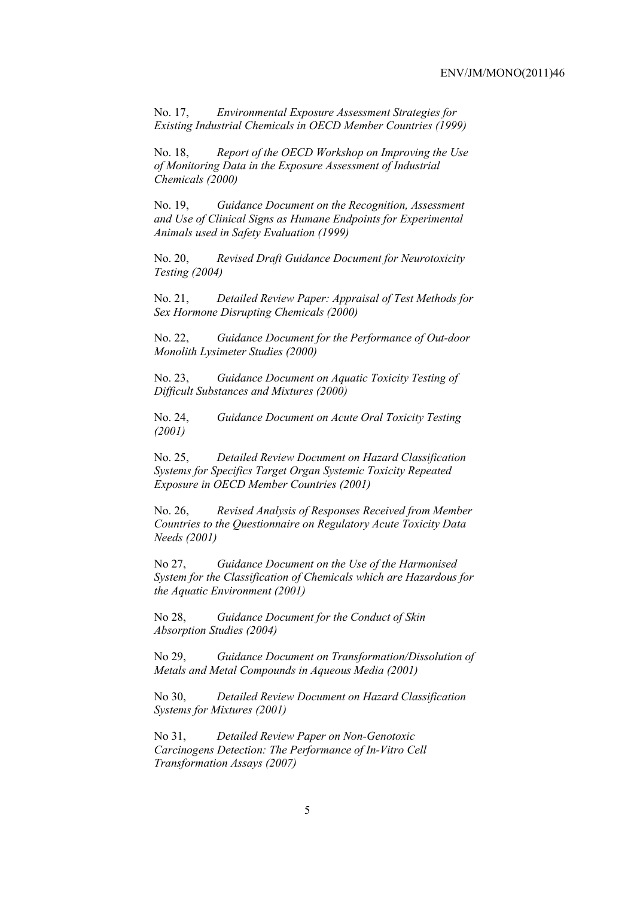No. 17, *Environmental Exposure Assessment Strategies for Existing Industrial Chemicals in OECD Member Countries (1999)*

No. 18, *Report of the OECD Workshop on Improving the Use of Monitoring Data in the Exposure Assessment of Industrial Chemicals (2000)*

No. 19, *Guidance Document on the Recognition, Assessment and Use of Clinical Signs as Humane Endpoints for Experimental Animals used in Safety Evaluation (1999)*

No. 20, *Revised Draft Guidance Document for Neurotoxicity Testing (2004)*

No. 21, *Detailed Review Paper: Appraisal of Test Methods for Sex Hormone Disrupting Chemicals (2000)*

No. 22, *Guidance Document for the Performance of Out-door Monolith Lysimeter Studies (2000)*

No. 23, *Guidance Document on Aquatic Toxicity Testing of Difficult Substances and Mixtures (2000)*

No. 24, *Guidance Document on Acute Oral Toxicity Testing (2001)*

No. 25, *Detailed Review Document on Hazard Classification Systems for Specifics Target Organ Systemic Toxicity Repeated Exposure in OECD Member Countries (2001)*

No. 26, *Revised Analysis of Responses Received from Member Countries to the Questionnaire on Regulatory Acute Toxicity Data Needs (2001)*

No 27, *Guidance Document on the Use of the Harmonised System for the Classification of Chemicals which are Hazardous for the Aquatic Environment (2001)*

No 28, *Guidance Document for the Conduct of Skin Absorption Studies (2004)*

No 29, *Guidance Document on Transformation/Dissolution of Metals and Metal Compounds in Aqueous Media (2001)*

No 30, *Detailed Review Document on Hazard Classification Systems for Mixtures (2001)*

No 31, *Detailed Review Paper on Non-Genotoxic Carcinogens Detection: The Performance of In-Vitro Cell Transformation Assays (2007)*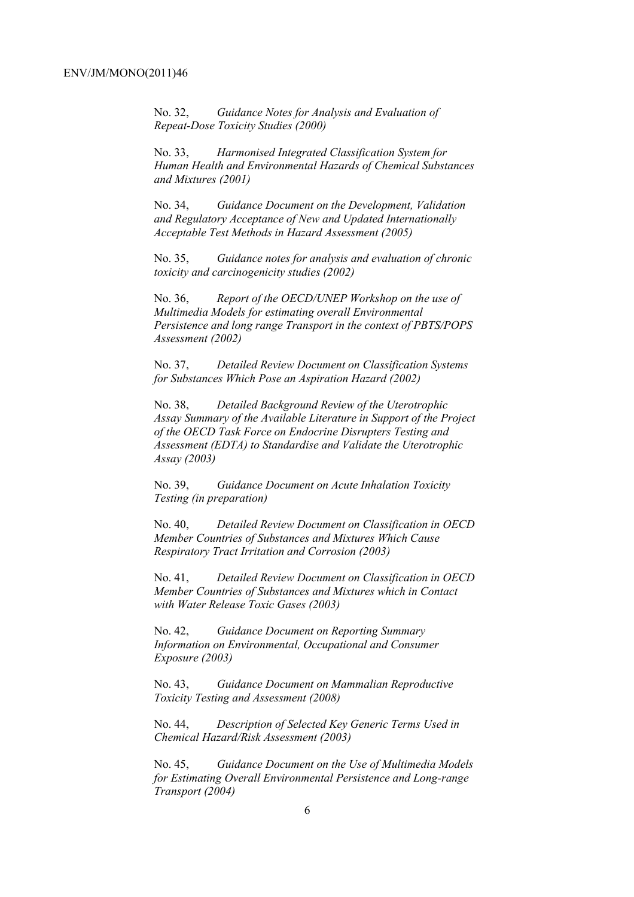No. 32, *Guidance Notes for Analysis and Evaluation of Repeat-Dose Toxicity Studies (2000)* 

No. 33, *Harmonised Integrated Classification System for Human Health and Environmental Hazards of Chemical Substances and Mixtures (2001)*

No. 34, *Guidance Document on the Development, Validation and Regulatory Acceptance of New and Updated Internationally Acceptable Test Methods in Hazard Assessment (2005)*

No. 35, *Guidance notes for analysis and evaluation of chronic toxicity and carcinogenicity studies (2002)*

No. 36, *Report of the OECD/UNEP Workshop on the use of Multimedia Models for estimating overall Environmental Persistence and long range Transport in the context of PBTS/POPS Assessment (2002)*

No. 37, *Detailed Review Document on Classification Systems for Substances Which Pose an Aspiration Hazard (2002)*

No. 38, *Detailed Background Review of the Uterotrophic Assay Summary of the Available Literature in Support of the Project of the OECD Task Force on Endocrine Disrupters Testing and Assessment (EDTA) to Standardise and Validate the Uterotrophic Assay (2003)*

No. 39, *Guidance Document on Acute Inhalation Toxicity Testing (in preparation)*

No. 40, *Detailed Review Document on Classification in OECD Member Countries of Substances and Mixtures Which Cause Respiratory Tract Irritation and Corrosion (2003)*

No. 41, *Detailed Review Document on Classification in OECD Member Countries of Substances and Mixtures which in Contact with Water Release Toxic Gases (2003)*

No. 42, *Guidance Document on Reporting Summary Information on Environmental, Occupational and Consumer Exposure (2003)*

No. 43, *Guidance Document on Mammalian Reproductive Toxicity Testing and Assessment (2008)*

No. 44, *Description of Selected Key Generic Terms Used in Chemical Hazard/Risk Assessment (2003)* 

No. 45, *Guidance Document on the Use of Multimedia Models for Estimating Overall Environmental Persistence and Long-range Transport (2004)*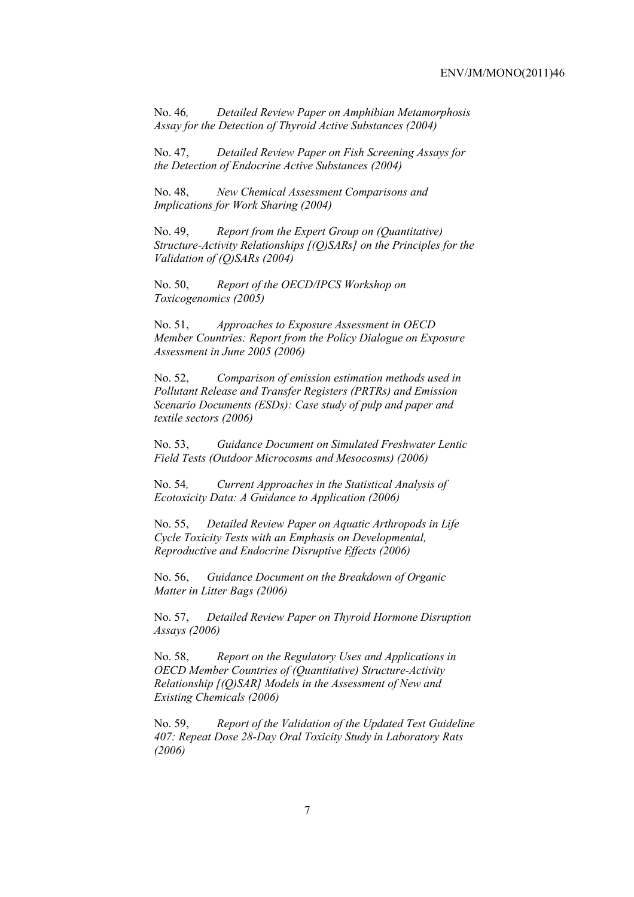No. 46*, Detailed Review Paper on Amphibian Metamorphosis Assay for the Detection of Thyroid Active Substances (2004)* 

No. 47, *Detailed Review Paper on Fish Screening Assays for the Detection of Endocrine Active Substances (2004)* 

No. 48, *New Chemical Assessment Comparisons and Implications for Work Sharing (2004)* 

No. 49, *Report from the Expert Group on (Quantitative) Structure-Activity Relationships [(Q)SARs] on the Principles for the Validation of (Q)SARs (2004)* 

No. 50, *Report of the OECD/IPCS Workshop on Toxicogenomics (2005)* 

No. 51, *Approaches to Exposure Assessment in OECD Member Countries: Report from the Policy Dialogue on Exposure Assessment in June 2005 (2006)* 

No. 52, *Comparison of emission estimation methods used in Pollutant Release and Transfer Registers (PRTRs) and Emission Scenario Documents (ESDs): Case study of pulp and paper and textile sectors (2006)* 

No. 53, *Guidance Document on Simulated Freshwater Lentic Field Tests (Outdoor Microcosms and Mesocosms) (2006)* 

No. 54*, Current Approaches in the Statistical Analysis of Ecotoxicity Data: A Guidance to Application (2006)* 

No. 55, *Detailed Review Paper on Aquatic Arthropods in Life Cycle Toxicity Tests with an Emphasis on Developmental, Reproductive and Endocrine Disruptive Effects (2006)* 

No. 56, *Guidance Document on the Breakdown of Organic Matter in Litter Bags (2006)* 

No. 57, *Detailed Review Paper on Thyroid Hormone Disruption Assays (2006)* 

No. 58, *Report on the Regulatory Uses and Applications in OECD Member Countries of (Quantitative) Structure-Activity Relationship [(Q)SAR] Models in the Assessment of New and Existing Chemicals (2006)* 

No. 59, *Report of the Validation of the Updated Test Guideline 407: Repeat Dose 28-Day Oral Toxicity Study in Laboratory Rats (2006)*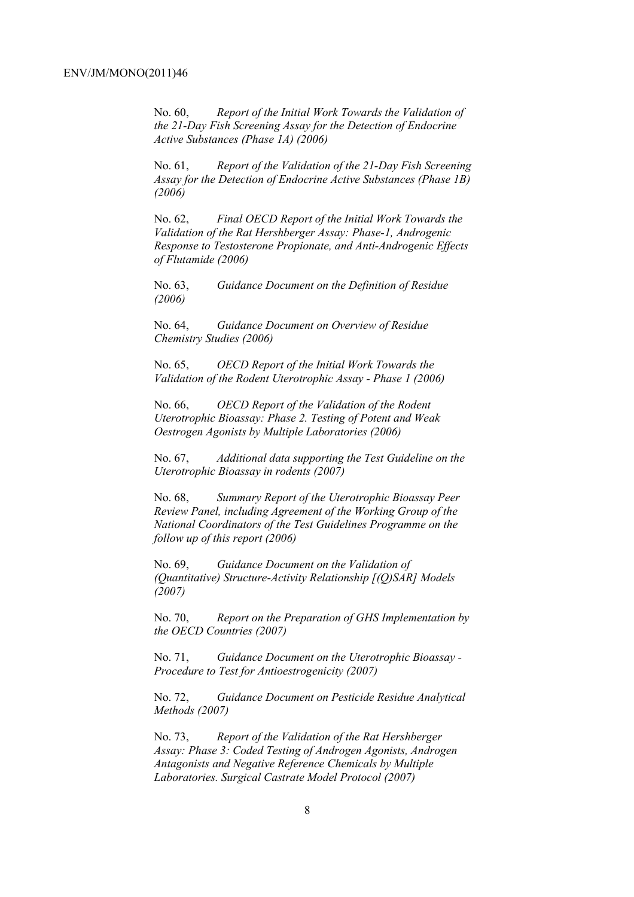No. 60, *Report of the Initial Work Towards the Validation of the 21-Day Fish Screening Assay for the Detection of Endocrine Active Substances (Phase 1A) (2006)* 

No. 61, *Report of the Validation of the 21-Day Fish Screening Assay for the Detection of Endocrine Active Substances (Phase 1B) (2006)* 

No. 62, *Final OECD Report of the Initial Work Towards the Validation of the Rat Hershberger Assay: Phase-1, Androgenic Response to Testosterone Propionate, and Anti-Androgenic Effects of Flutamide (2006)* 

No. 63, *Guidance Document on the Definition of Residue (2006)* 

No. 64, *Guidance Document on Overview of Residue Chemistry Studies (2006)* 

No. 65, *OECD Report of the Initial Work Towards the Validation of the Rodent Uterotrophic Assay - Phase 1 (2006)* 

No. 66, *OECD Report of the Validation of the Rodent Uterotrophic Bioassay: Phase 2. Testing of Potent and Weak Oestrogen Agonists by Multiple Laboratories (2006)* 

No. 67, *Additional data supporting the Test Guideline on the Uterotrophic Bioassay in rodents (2007)* 

No. 68, *Summary Report of the Uterotrophic Bioassay Peer Review Panel, including Agreement of the Working Group of the National Coordinators of the Test Guidelines Programme on the follow up of this report (2006)* 

No. 69, *Guidance Document on the Validation of (Quantitative) Structure-Activity Relationship [(Q)SAR] Models (2007)* 

No. 70, *Report on the Preparation of GHS Implementation by the OECD Countries (2007)*

No. 71, *Guidance Document on the Uterotrophic Bioassay - Procedure to Test for Antioestrogenicity (2007)*

No. 72, *Guidance Document on Pesticide Residue Analytical Methods (2007)* 

No. 73, *Report of the Validation of the Rat Hershberger Assay: Phase 3: Coded Testing of Androgen Agonists, Androgen Antagonists and Negative Reference Chemicals by Multiple Laboratories. Surgical Castrate Model Protocol (2007)*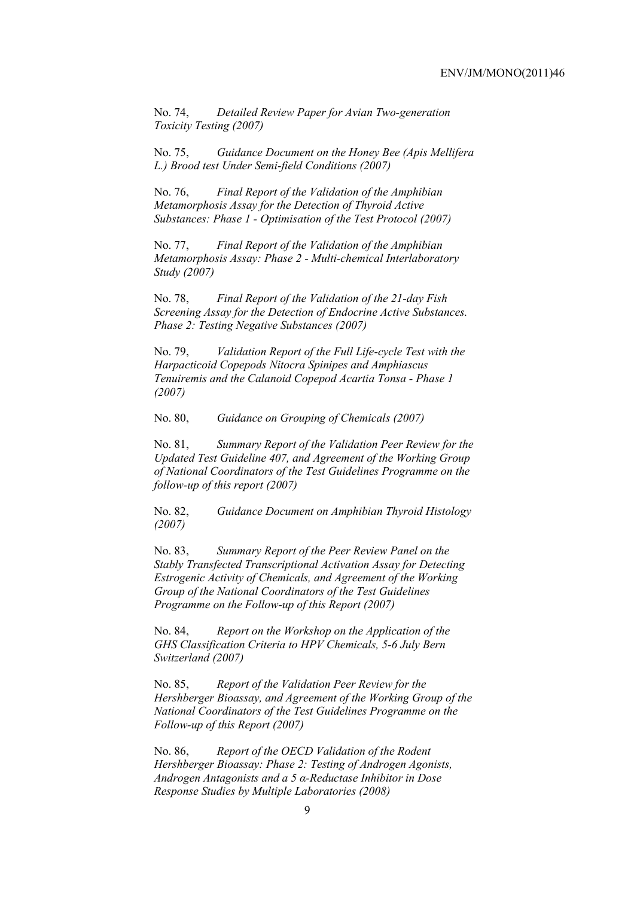No. 74, *Detailed Review Paper for Avian Two-generation Toxicity Testing (2007)*

No. 75, *Guidance Document on the Honey Bee (Apis Mellifera L.) Brood test Under Semi-field Conditions (2007)* 

No. 76, *Final Report of the Validation of the Amphibian Metamorphosis Assay for the Detection of Thyroid Active Substances: Phase 1 - Optimisation of the Test Protocol (2007)* 

No. 77, *Final Report of the Validation of the Amphibian Metamorphosis Assay: Phase 2 - Multi-chemical Interlaboratory Study (2007)* 

No. 78, *Final Report of the Validation of the 21-day Fish Screening Assay for the Detection of Endocrine Active Substances. Phase 2: Testing Negative Substances (2007)* 

No. 79, *Validation Report of the Full Life-cycle Test with the Harpacticoid Copepods Nitocra Spinipes and Amphiascus Tenuiremis and the Calanoid Copepod Acartia Tonsa - Phase 1 (2007)* 

No. 80, *Guidance on Grouping of Chemicals (2007)* 

No. 81, *Summary Report of the Validation Peer Review for the Updated Test Guideline 407, and Agreement of the Working Group of National Coordinators of the Test Guidelines Programme on the follow-up of this report (2007)* 

No. 82, *Guidance Document on Amphibian Thyroid Histology (2007)* 

No. 83, *Summary Report of the Peer Review Panel on the Stably Transfected Transcriptional Activation Assay for Detecting Estrogenic Activity of Chemicals, and Agreement of the Working Group of the National Coordinators of the Test Guidelines Programme on the Follow-up of this Report (2007)* 

No. 84, *Report on the Workshop on the Application of the GHS Classification Criteria to HPV Chemicals, 5-6 July Bern Switzerland (2007)* 

No. 85, *Report of the Validation Peer Review for the Hershberger Bioassay, and Agreement of the Working Group of the National Coordinators of the Test Guidelines Programme on the Follow-up of this Report (2007)* 

No. 86, *Report of the OECD Validation of the Rodent Hershberger Bioassay: Phase 2: Testing of Androgen Agonists, Androgen Antagonists and a 5 α-Reductase Inhibitor in Dose Response Studies by Multiple Laboratories (2008)*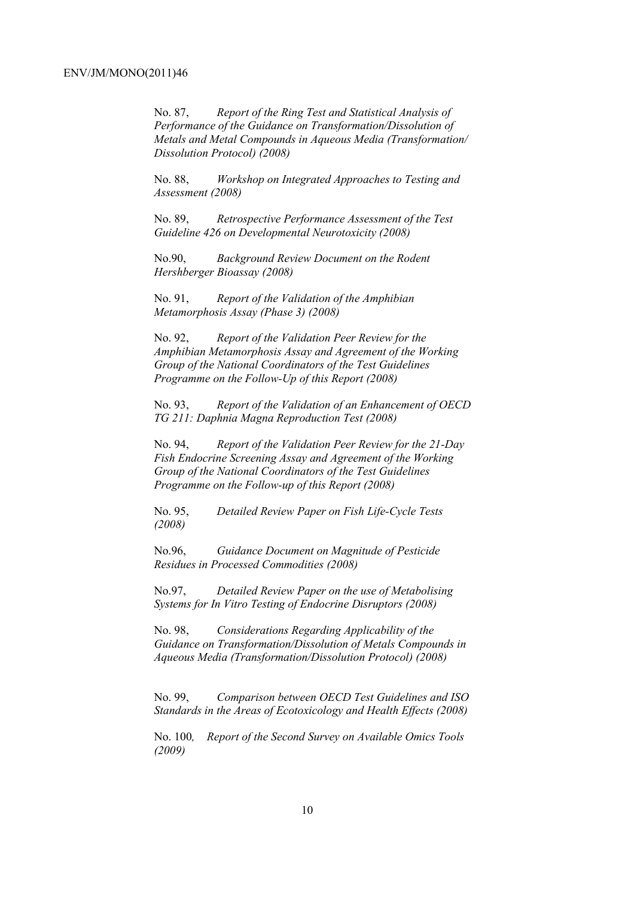No. 87, *Report of the Ring Test and Statistical Analysis of Performance of the Guidance on Transformation/Dissolution of Metals and Metal Compounds in Aqueous Media (Transformation/ Dissolution Protocol) (2008)*

No. 88, *Workshop on Integrated Approaches to Testing and Assessment (2008)* 

No. 89, *Retrospective Performance Assessment of the Test Guideline 426 on Developmental Neurotoxicity (2008)* 

No.90, *Background Review Document on the Rodent Hershberger Bioassay (2008)* 

No. 91, *Report of the Validation of the Amphibian Metamorphosis Assay (Phase 3) (2008)* 

No. 92, *Report of the Validation Peer Review for the Amphibian Metamorphosis Assay and Agreement of the Working Group of the National Coordinators of the Test Guidelines Programme on the Follow-Up of this Report (2008)* 

No. 93, *Report of the Validation of an Enhancement of OECD TG 211: Daphnia Magna Reproduction Test (2008)* 

No. 94, *Report of the Validation Peer Review for the 21-Day Fish Endocrine Screening Assay and Agreement of the Working Group of the National Coordinators of the Test Guidelines Programme on the Follow-up of this Report (2008)* 

No. 95, *Detailed Review Paper on Fish Life-Cycle Tests (2008)* 

No.96, *Guidance Document on Magnitude of Pesticide Residues in Processed Commodities (2008)* 

No.97, *Detailed Review Paper on the use of Metabolising Systems for In Vitro Testing of Endocrine Disruptors (2008)* 

No. 98, *Considerations Regarding Applicability of the Guidance on Transformation/Dissolution of Metals Compounds in Aqueous Media (Transformation/Dissolution Protocol) (2008)*

No. 99, *Comparison between OECD Test Guidelines and ISO Standards in the Areas of Ecotoxicology and Health Effects (2008)* 

No. 100*, Report of the Second Survey on Available Omics Tools (2009)*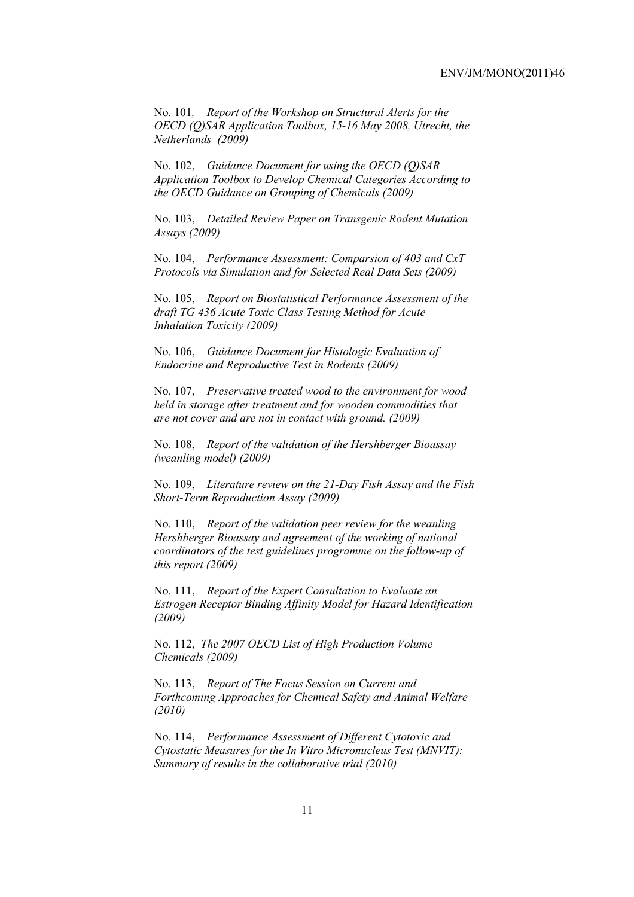No. 101*, Report of the Workshop on Structural Alerts for the OECD (O)SAR Application Toolbox, 15-16 May 2008, Utrecht, the Netherlands (2009)* 

No. 102, *Guidance Document for using the OECD (Q)SAR Application Toolbox to Develop Chemical Categories According to the OECD Guidance on Grouping of Chemicals (2009)* 

No. 103, *Detailed Review Paper on Transgenic Rodent Mutation Assays (2009)* 

No. 104, *Performance Assessment: Comparsion of 403 and CxT Protocols via Simulation and for Selected Real Data Sets (2009)* 

No. 105, *Report on Biostatistical Performance Assessment of the draft TG 436 Acute Toxic Class Testing Method for Acute Inhalation Toxicity (2009)* 

No. 106, *Guidance Document for Histologic Evaluation of Endocrine and Reproductive Test in Rodents (2009)* 

No. 107, *Preservative treated wood to the environment for wood held in storage after treatment and for wooden commodities that are not cover and are not in contact with ground. (2009)* 

No. 108, *Report of the validation of the Hershberger Bioassay (weanling model) (2009)* 

No. 109, *Literature review on the 21-Day Fish Assay and the Fish Short-Term Reproduction Assay (2009)* 

No. 110, *Report of the validation peer review for the weanling Hershberger Bioassay and agreement of the working of national coordinators of the test guidelines programme on the follow-up of this report (2009)* 

No. 111, *Report of the Expert Consultation to Evaluate an Estrogen Receptor Binding Affinity Model for Hazard Identification (2009)* 

No. 112, *The 2007 OECD List of High Production Volume Chemicals (2009)* 

No. 113, *Report of The Focus Session on Current and Forthcoming Approaches for Chemical Safety and Animal Welfare (2010)* 

No. 114, *Performance Assessment of Different Cytotoxic and Cytostatic Measures for the In Vitro Micronucleus Test (MNVIT): Summary of results in the collaborative trial (2010)*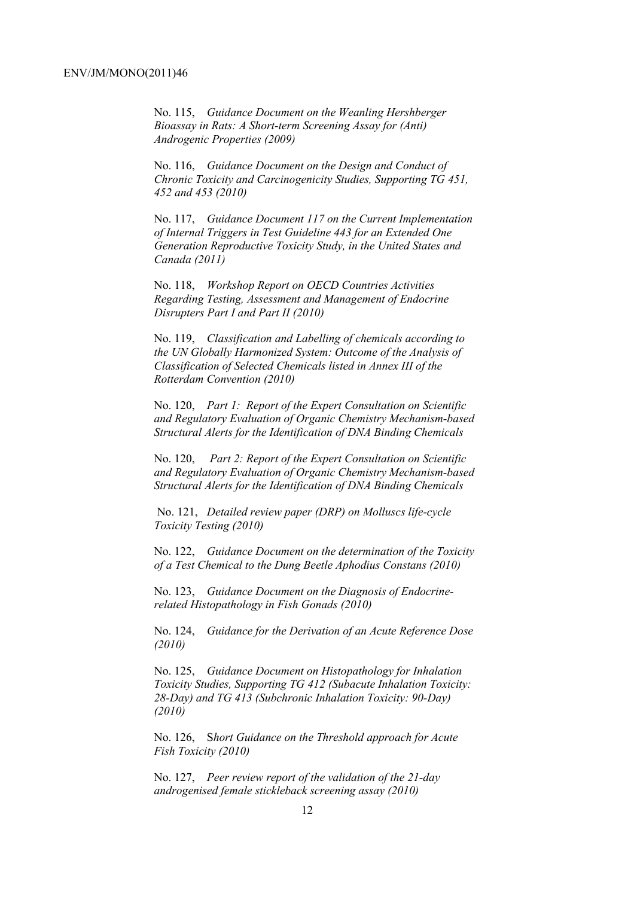No. 115, *Guidance Document on the Weanling Hershberger Bioassay in Rats: A Short-term Screening Assay for (Anti) Androgenic Properties (2009)* 

No. 116, *Guidance Document on the Design and Conduct of Chronic Toxicity and Carcinogenicity Studies, Supporting TG 451, 452 and 453 (2010)*

No. 117, *Guidance Document 117 on the Current Implementation of Internal Triggers in Test Guideline 443 for an Extended One Generation Reproductive Toxicity Study, in the United States and Canada (2011)*

No. 118, *Workshop Report on OECD Countries Activities Regarding Testing, Assessment and Management of Endocrine Disrupters Part I and Part II (2010)* 

No. 119, *Classification and Labelling of chemicals according to the UN Globally Harmonized System: Outcome of the Analysis of Classification of Selected Chemicals listed in Annex III of the Rotterdam Convention (2010)* 

No. 120, *Part 1: Report of the Expert Consultation on Scientific and Regulatory Evaluation of Organic Chemistry Mechanism-based Structural Alerts for the Identification of DNA Binding Chemicals* 

No. 120, *Part 2: Report of the Expert Consultation on Scientific and Regulatory Evaluation of Organic Chemistry Mechanism-based Structural Alerts for the Identification of DNA Binding Chemicals* 

 No. 121, *Detailed review paper (DRP) on Molluscs life-cycle Toxicity Testing (2010)* 

No. 122, *Guidance Document on the determination of the Toxicity of a Test Chemical to the Dung Beetle Aphodius Constans (2010)* 

No. 123, *Guidance Document on the Diagnosis of Endocrinerelated Histopathology in Fish Gonads (2010)* 

No. 124, *Guidance for the Derivation of an Acute Reference Dose (2010)* 

No. 125, *Guidance Document on Histopathology for Inhalation Toxicity Studies, Supporting TG 412 (Subacute Inhalation Toxicity: 28-Day) and TG 413 (Subchronic Inhalation Toxicity: 90-Day) (2010)* 

No. 126, S*hort Guidance on the Threshold approach for Acute Fish Toxicity (2010)* 

No. 127, *Peer review report of the validation of the 21-day androgenised female stickleback screening assay (2010)*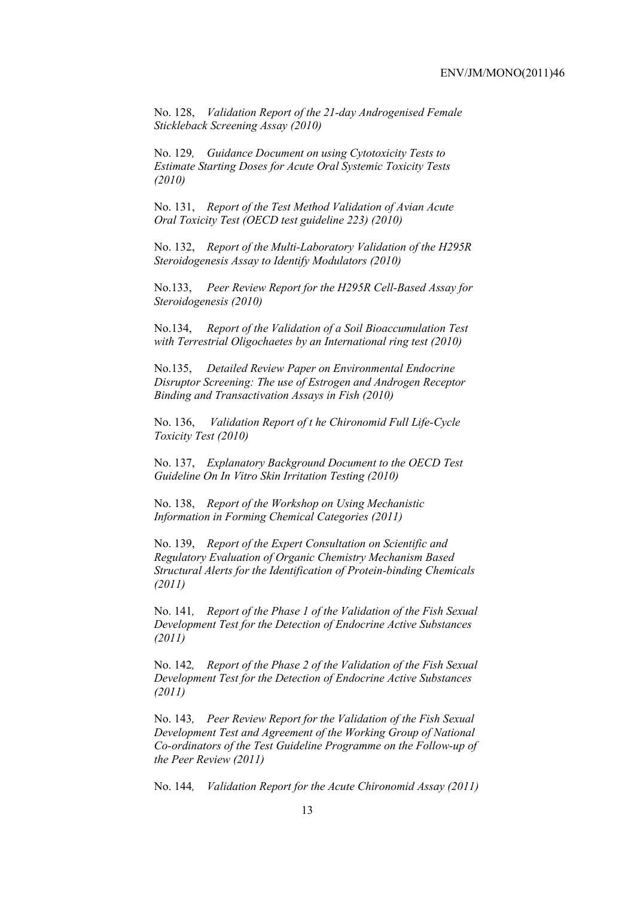No. 128, *Validation Report of the 21-day Androgenised Female Stickleback Screening Assay (2010)* 

No. 129*, Guidance Document on using Cytotoxicity Tests to Estimate Starting Doses for Acute Oral Systemic Toxicity Tests (2010)* 

No. 131, *Report of the Test Method Validation of Avian Acute Oral Toxicity Test (OECD test guideline 223) (2010)* 

No. 132, *Report of the Multi-Laboratory Validation of the H295R Steroidogenesis Assay to Identify Modulators (2010)* 

No.133, *Peer Review Report for the H295R Cell-Based Assay for Steroidogenesis (2010)* 

No.134, *Report of the Validation of a Soil Bioaccumulation Test with Terrestrial Oligochaetes by an International ring test (2010)* 

No.135, *Detailed Review Paper on Environmental Endocrine Disruptor Screening: The use of Estrogen and Androgen Receptor Binding and Transactivation Assays in Fish (2010)* 

No. 136, *Validation Report of t he Chironomid Full Life-Cycle Toxicity Test (2010)* 

No. 137, *Explanatory Background Document to the OECD Test Guideline On In Vitro Skin Irritation Testing (2010)* 

No. 138, *Report of the Workshop on Using Mechanistic Information in Forming Chemical Categories (2011)* 

No. 139, *Report of the Expert Consultation on Scientific and Regulatory Evaluation of Organic Chemistry Mechanism Based Structural Alerts for the Identification of Protein-binding Chemicals (2011)* 

No. 141*, Report of the Phase 1 of the Validation of the Fish Sexual Development Test for the Detection of Endocrine Active Substances (2011)* 

No. 142*, Report of the Phase 2 of the Validation of the Fish Sexual Development Test for the Detection of Endocrine Active Substances (2011)* 

No. 143*, Peer Review Report for the Validation of the Fish Sexual Development Test and Agreement of the Working Group of National Co-ordinators of the Test Guideline Programme on the Follow-up of the Peer Review (2011)* 

No. 144*, Validation Report for the Acute Chironomid Assay (2011)*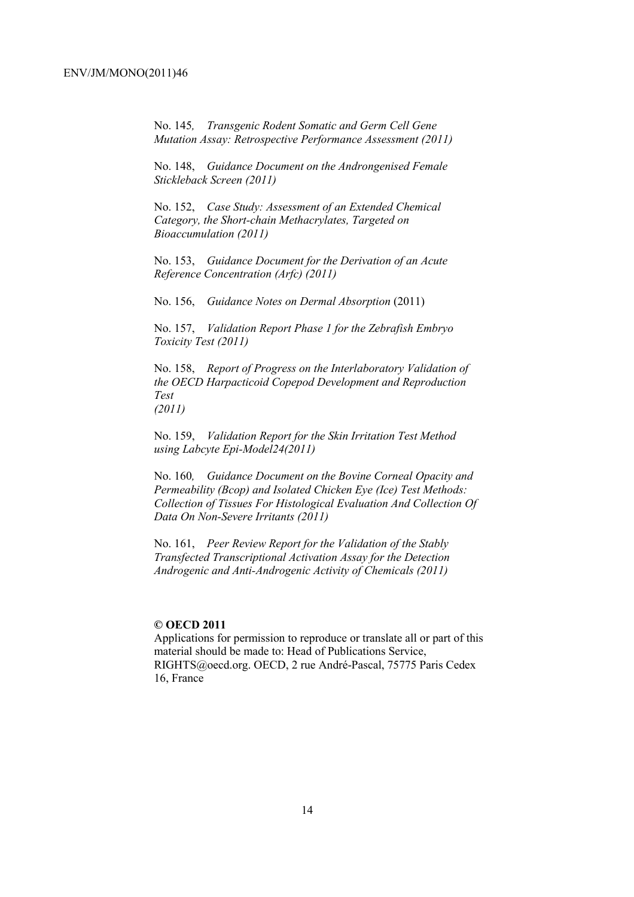No. 145*, Transgenic Rodent Somatic and Germ Cell Gene Mutation Assay: Retrospective Performance Assessment (2011)* 

No. 148, *Guidance Document on the Androngenised Female Stickleback Screen (2011)* 

No. 152, *Case Study: Assessment of an Extended Chemical Category, the Short-chain Methacrylates, Targeted on Bioaccumulation (2011)* 

No. 153, *Guidance Document for the Derivation of an Acute Reference Concentration (Arfc) (2011)* 

No. 156, *Guidance Notes on Dermal Absorption* (2011)

No. 157, *Validation Report Phase 1 for the Zebrafish Embryo Toxicity Test (2011)* 

No. 158, *Report of Progress on the Interlaboratory Validation of the OECD Harpacticoid Copepod Development and Reproduction Test* 

*(2011)* 

No. 159, *Validation Report for the Skin Irritation Test Method using Labcyte Epi-Model24(2011)* 

No. 160*, Guidance Document on the Bovine Corneal Opacity and Permeability (Bcop) and Isolated Chicken Eye (Ice) Test Methods: Collection of Tissues For Histological Evaluation And Collection Of Data On Non-Severe Irritants (2011)* 

No. 161, *Peer Review Report for the Validation of the Stably Transfected Transcriptional Activation Assay for the Detection Androgenic and Anti-Androgenic Activity of Chemicals (2011)* 

#### **© OECD 2011**

Applications for permission to reproduce or translate all or part of this material should be made to: Head of Publications Service, RIGHTS@oecd.org. OECD, 2 rue André-Pascal, 75775 Paris Cedex 16, France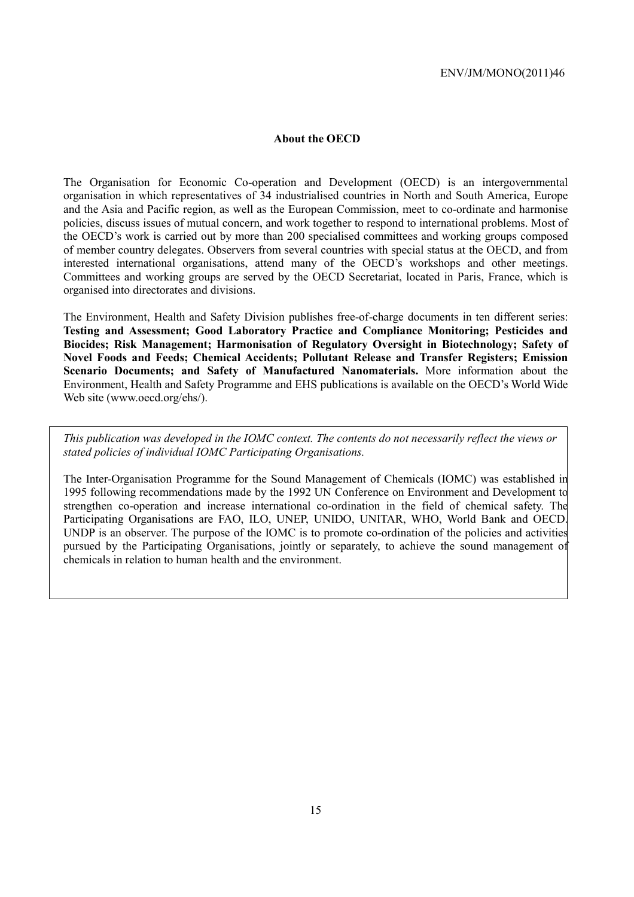#### **About the OECD**

The Organisation for Economic Co-operation and Development (OECD) is an intergovernmental organisation in which representatives of 34 industrialised countries in North and South America, Europe and the Asia and Pacific region, as well as the European Commission, meet to co-ordinate and harmonise policies, discuss issues of mutual concern, and work together to respond to international problems. Most of the OECD's work is carried out by more than 200 specialised committees and working groups composed of member country delegates. Observers from several countries with special status at the OECD, and from interested international organisations, attend many of the OECD's workshops and other meetings. Committees and working groups are served by the OECD Secretariat, located in Paris, France, which is organised into directorates and divisions.

The Environment, Health and Safety Division publishes free-of-charge documents in ten different series: **Testing and Assessment; Good Laboratory Practice and Compliance Monitoring; Pesticides and Biocides; Risk Management; Harmonisation of Regulatory Oversight in Biotechnology; Safety of Novel Foods and Feeds; Chemical Accidents; Pollutant Release and Transfer Registers; Emission Scenario Documents; and Safety of Manufactured Nanomaterials.** More information about the Environment, Health and Safety Programme and EHS publications is available on the OECD's World Wide Web site (www.oecd.org/ehs/).

*This publication was developed in the IOMC context. The contents do not necessarily reflect the views or stated policies of individual IOMC Participating Organisations.* 

The Inter-Organisation Programme for the Sound Management of Chemicals (IOMC) was established in 1995 following recommendations made by the 1992 UN Conference on Environment and Development to strengthen co-operation and increase international co-ordination in the field of chemical safety. The Participating Organisations are FAO, ILO, UNEP, UNIDO, UNITAR, WHO, World Bank and OECD. UNDP is an observer. The purpose of the IOMC is to promote co-ordination of the policies and activities pursued by the Participating Organisations, jointly or separately, to achieve the sound management of chemicals in relation to human health and the environment.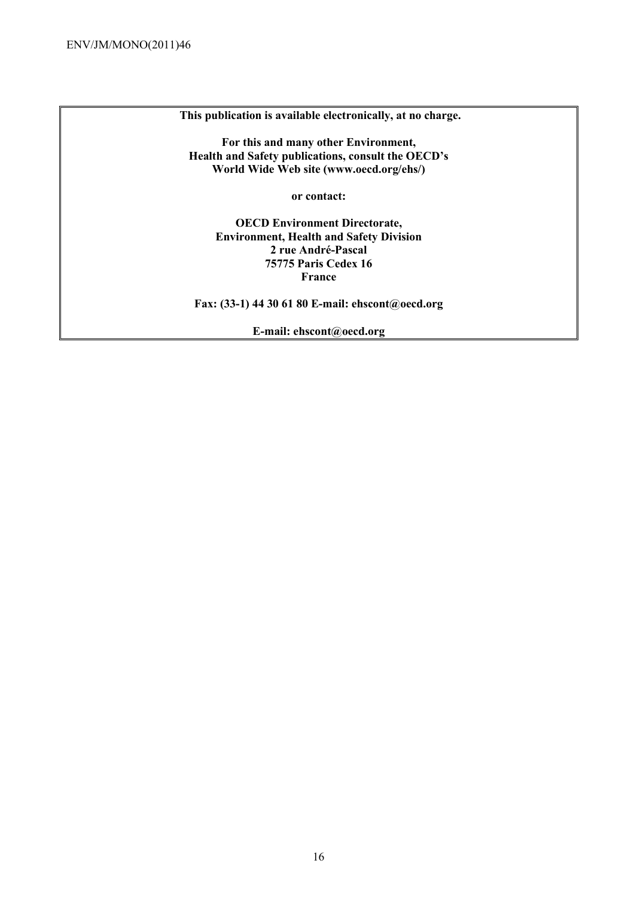**This publication is available electronically, at no charge.** 

**For this and many other Environment, Health and Safety publications, consult the OECD's World Wide Web site (www.oecd.org/ehs/)** 

**or contact:** 

**OECD Environment Directorate, Environment, Health and Safety Division 2 rue André-Pascal 75775 Paris Cedex 16 France** 

**Fax: (33-1) 44 30 61 80 E-mail: ehscont@oecd.org** 

**E-mail: ehscont@oecd.org**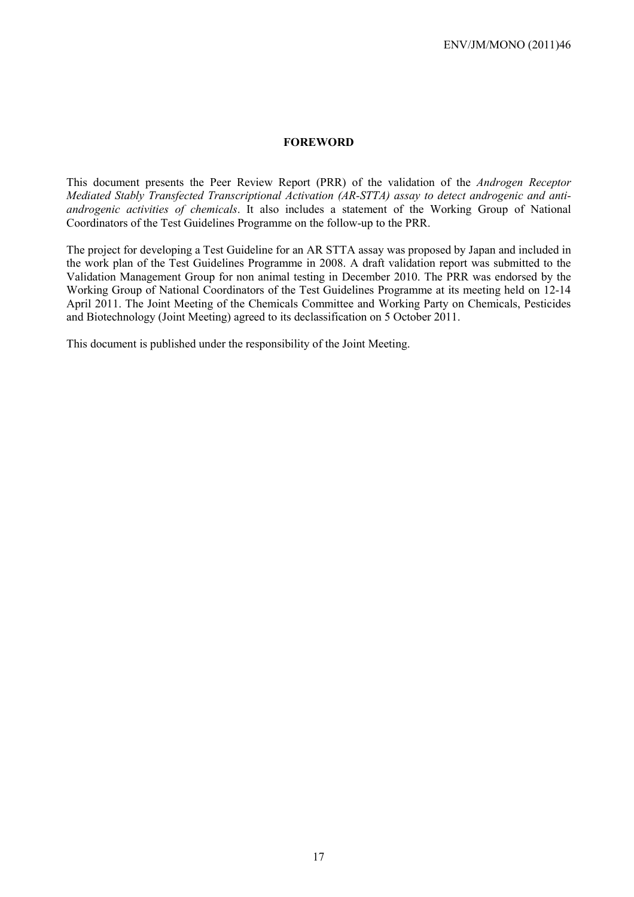#### **FOREWORD**

This document presents the Peer Review Report (PRR) of the validation of the *Androgen Receptor Mediated Stably Transfected Transcriptional Activation (AR-STTA) assay to detect androgenic and antiandrogenic activities of chemicals*. It also includes a statement of the Working Group of National Coordinators of the Test Guidelines Programme on the follow-up to the PRR.

The project for developing a Test Guideline for an AR STTA assay was proposed by Japan and included in the work plan of the Test Guidelines Programme in 2008. A draft validation report was submitted to the Validation Management Group for non animal testing in December 2010. The PRR was endorsed by the Working Group of National Coordinators of the Test Guidelines Programme at its meeting held on 12-14 April 2011. The Joint Meeting of the Chemicals Committee and Working Party on Chemicals, Pesticides and Biotechnology (Joint Meeting) agreed to its declassification on 5 October 2011.

This document is published under the responsibility of the Joint Meeting.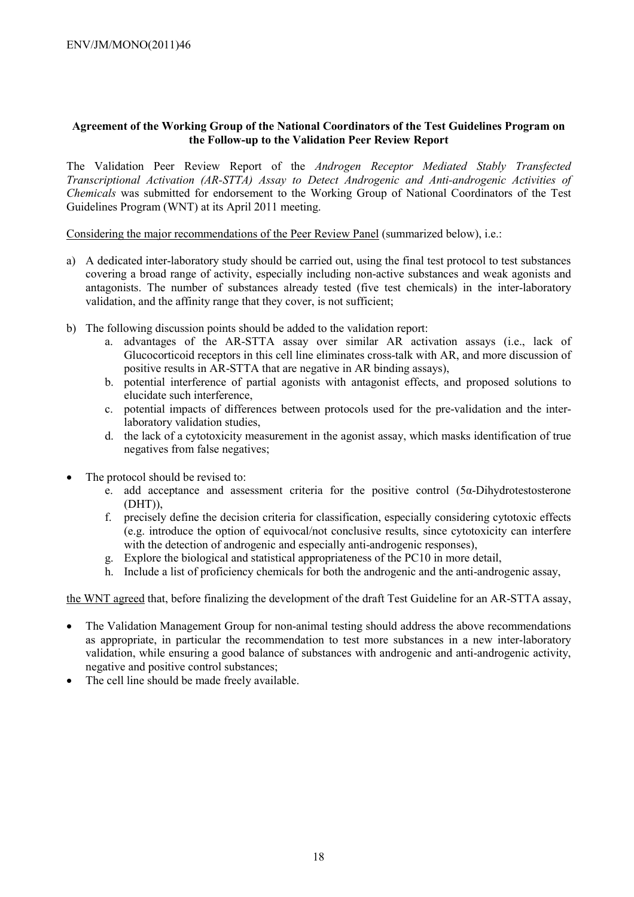#### **Agreement of the Working Group of the National Coordinators of the Test Guidelines Program on the Follow-up to the Validation Peer Review Report**

The Validation Peer Review Report of the *Androgen Receptor Mediated Stably Transfected Transcriptional Activation (AR-STTA) Assay to Detect Androgenic and Anti-androgenic Activities of Chemicals* was submitted for endorsement to the Working Group of National Coordinators of the Test Guidelines Program (WNT) at its April 2011 meeting.

Considering the major recommendations of the Peer Review Panel (summarized below), i.e.:

- a) A dedicated inter-laboratory study should be carried out, using the final test protocol to test substances covering a broad range of activity, especially including non-active substances and weak agonists and antagonists. The number of substances already tested (five test chemicals) in the inter-laboratory validation, and the affinity range that they cover, is not sufficient;
- b) The following discussion points should be added to the validation report:
	- a. advantages of the AR-STTA assay over similar AR activation assays (i.e., lack of Glucocorticoid receptors in this cell line eliminates cross-talk with AR, and more discussion of positive results in AR-STTA that are negative in AR binding assays),
	- b. potential interference of partial agonists with antagonist effects, and proposed solutions to elucidate such interference,
	- c. potential impacts of differences between protocols used for the pre-validation and the interlaboratory validation studies,
	- d. the lack of a cytotoxicity measurement in the agonist assay, which masks identification of true negatives from false negatives;
- The protocol should be revised to:
	- e. add acceptance and assessment criteria for the positive control (5α-Dihydrotestosterone  $(DHT)$ ),
	- f. precisely define the decision criteria for classification, especially considering cytotoxic effects (e.g. introduce the option of equivocal/not conclusive results, since cytotoxicity can interfere with the detection of androgenic and especially anti-androgenic responses).
	- g. Explore the biological and statistical appropriateness of the PC10 in more detail,
	- h. Include a list of proficiency chemicals for both the androgenic and the anti-androgenic assay,

the WNT agreed that, before finalizing the development of the draft Test Guideline for an AR-STTA assay,

- The Validation Management Group for non-animal testing should address the above recommendations as appropriate, in particular the recommendation to test more substances in a new inter-laboratory validation, while ensuring a good balance of substances with androgenic and anti-androgenic activity, negative and positive control substances;
- The cell line should be made freely available.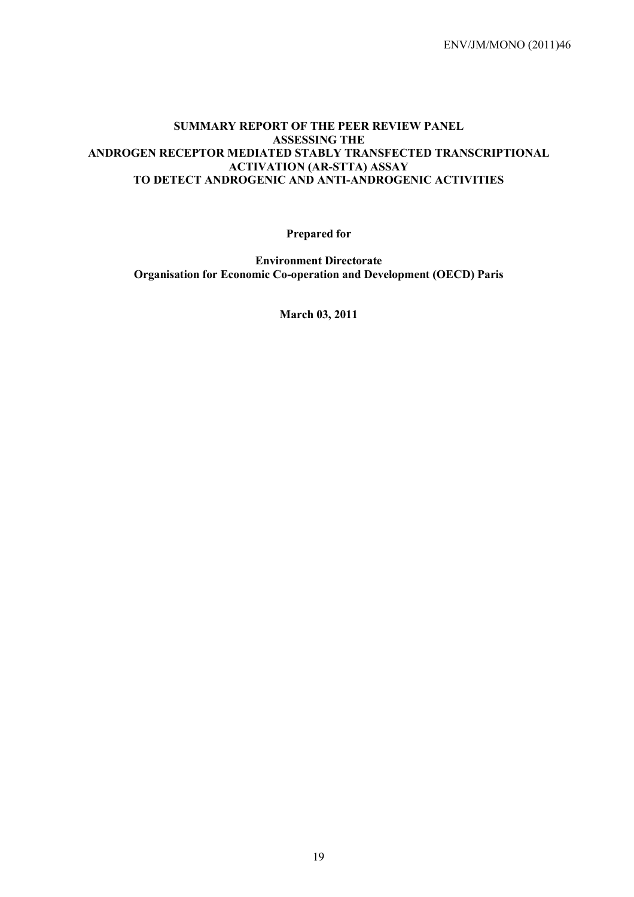ENV/JM/MONO (2011)46

#### **SUMMARY REPORT OF THE PEER REVIEW PANEL ASSESSING THE ANDROGEN RECEPTOR MEDIATED STABLY TRANSFECTED TRANSCRIPTIONAL ACTIVATION (AR-STTA) ASSAY TO DETECT ANDROGENIC AND ANTI-ANDROGENIC ACTIVITIES**

**Prepared for** 

**Environment Directorate Organisation for Economic Co-operation and Development (OECD) Paris** 

**March 03, 2011**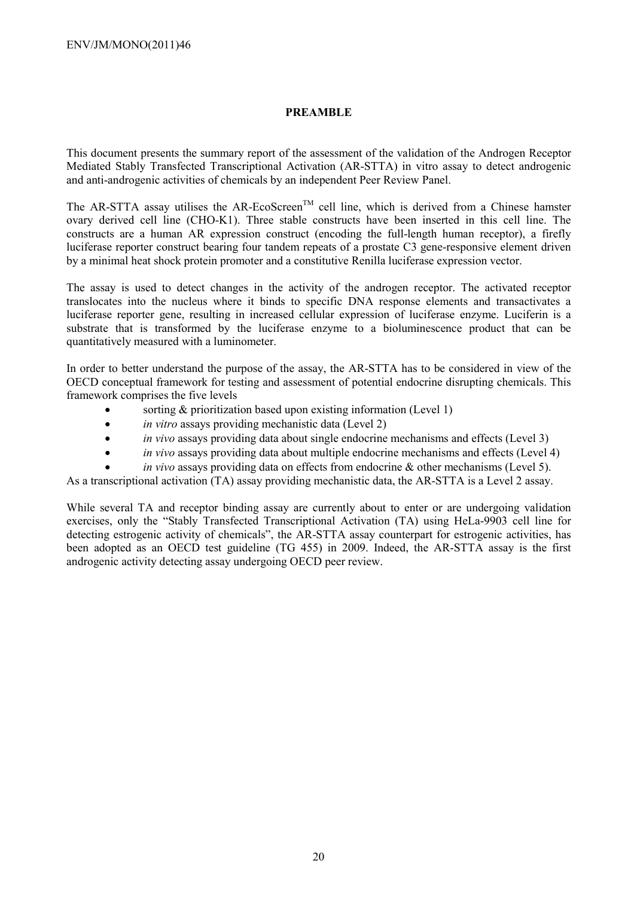#### **PREAMBLE**

This document presents the summary report of the assessment of the validation of the Androgen Receptor Mediated Stably Transfected Transcriptional Activation (AR-STTA) in vitro assay to detect androgenic and anti-androgenic activities of chemicals by an independent Peer Review Panel.

The AR-STTA assay utilises the AR-EcoScreen<sup>TM</sup> cell line, which is derived from a Chinese hamster ovary derived cell line (CHO-K1). Three stable constructs have been inserted in this cell line. The constructs are a human AR expression construct (encoding the full-length human receptor), a firefly luciferase reporter construct bearing four tandem repeats of a prostate C3 gene-responsive element driven by a minimal heat shock protein promoter and a constitutive Renilla luciferase expression vector.

The assay is used to detect changes in the activity of the androgen receptor. The activated receptor translocates into the nucleus where it binds to specific DNA response elements and transactivates a luciferase reporter gene, resulting in increased cellular expression of luciferase enzyme. Luciferin is a substrate that is transformed by the luciferase enzyme to a bioluminescence product that can be quantitatively measured with a luminometer.

In order to better understand the purpose of the assay, the AR-STTA has to be considered in view of the OECD conceptual framework for testing and assessment of potential endocrine disrupting chemicals. This framework comprises the five levels

- sorting  $&$  prioritization based upon existing information (Level 1)
- *in vitro* assays providing mechanistic data (Level 2)
- *in vivo* assays providing data about single endocrine mechanisms and effects (Level 3)
- *in vivo* assays providing data about multiple endocrine mechanisms and effects (Level 4)
- *in vivo* assays providing data on effects from endocrine & other mechanisms (Level 5).

As a transcriptional activation (TA) assay providing mechanistic data, the AR-STTA is a Level 2 assay.

While several TA and receptor binding assay are currently about to enter or are undergoing validation exercises, only the "Stably Transfected Transcriptional Activation (TA) using HeLa-9903 cell line for detecting estrogenic activity of chemicals", the AR-STTA assay counterpart for estrogenic activities, has been adopted as an OECD test guideline (TG 455) in 2009. Indeed, the AR-STTA assay is the first androgenic activity detecting assay undergoing OECD peer review.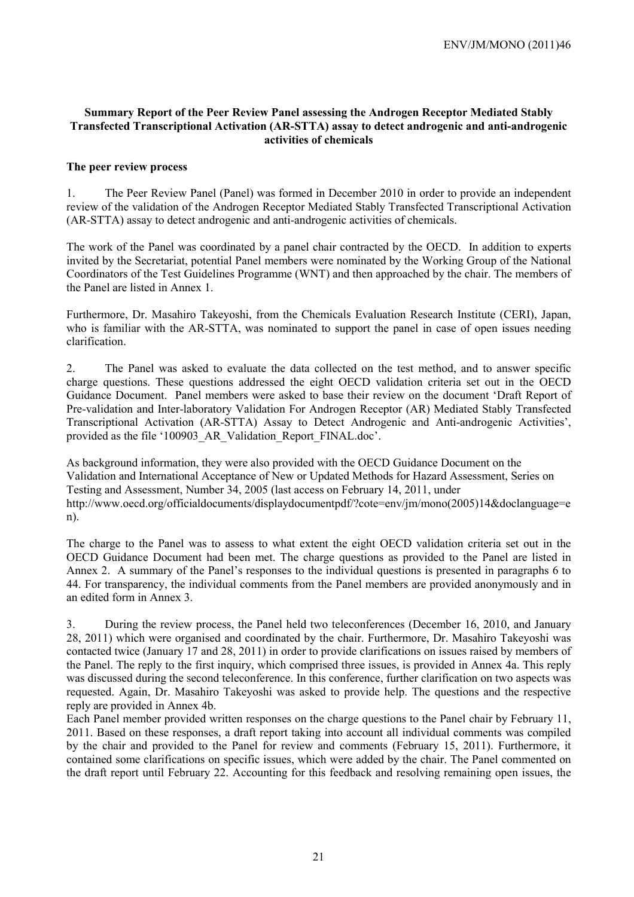#### **Summary Report of the Peer Review Panel assessing the Androgen Receptor Mediated Stably Transfected Transcriptional Activation (AR-STTA) assay to detect androgenic and anti-androgenic activities of chemicals**

#### **The peer review process**

1. The Peer Review Panel (Panel) was formed in December 2010 in order to provide an independent review of the validation of the Androgen Receptor Mediated Stably Transfected Transcriptional Activation (AR-STTA) assay to detect androgenic and anti-androgenic activities of chemicals.

The work of the Panel was coordinated by a panel chair contracted by the OECD. In addition to experts invited by the Secretariat, potential Panel members were nominated by the Working Group of the National Coordinators of the Test Guidelines Programme (WNT) and then approached by the chair. The members of the Panel are listed in Annex 1.

Furthermore, Dr. Masahiro Takeyoshi, from the Chemicals Evaluation Research Institute (CERI), Japan, who is familiar with the AR-STTA, was nominated to support the panel in case of open issues needing clarification.

2. The Panel was asked to evaluate the data collected on the test method, and to answer specific charge questions. These questions addressed the eight OECD validation criteria set out in the OECD Guidance Document. Panel members were asked to base their review on the document 'Draft Report of Pre-validation and Inter-laboratory Validation For Androgen Receptor (AR) Mediated Stably Transfected Transcriptional Activation (AR-STTA) Assay to Detect Androgenic and Anti-androgenic Activities', provided as the file '100903 AR\_Validation\_Report\_FINAL.doc'.

As background information, they were also provided with the OECD Guidance Document on the Validation and International Acceptance of New or Updated Methods for Hazard Assessment, Series on Testing and Assessment, Number 34, 2005 (last access on February 14, 2011, under http://www.oecd.org/officialdocuments/displaydocumentpdf/?cote=env/jm/mono(2005)14&doclanguage=e n).

The charge to the Panel was to assess to what extent the eight OECD validation criteria set out in the OECD Guidance Document had been met. The charge questions as provided to the Panel are listed in Annex 2. A summary of the Panel's responses to the individual questions is presented in paragraphs 6 to 44. For transparency, the individual comments from the Panel members are provided anonymously and in an edited form in Annex 3.

3. During the review process, the Panel held two teleconferences (December 16, 2010, and January 28, 2011) which were organised and coordinated by the chair. Furthermore, Dr. Masahiro Takeyoshi was contacted twice (January 17 and 28, 2011) in order to provide clarifications on issues raised by members of the Panel. The reply to the first inquiry, which comprised three issues, is provided in Annex 4a. This reply was discussed during the second teleconference. In this conference, further clarification on two aspects was requested. Again, Dr. Masahiro Takeyoshi was asked to provide help. The questions and the respective reply are provided in Annex 4b.

Each Panel member provided written responses on the charge questions to the Panel chair by February 11, 2011. Based on these responses, a draft report taking into account all individual comments was compiled by the chair and provided to the Panel for review and comments (February 15, 2011). Furthermore, it contained some clarifications on specific issues, which were added by the chair. The Panel commented on the draft report until February 22. Accounting for this feedback and resolving remaining open issues, the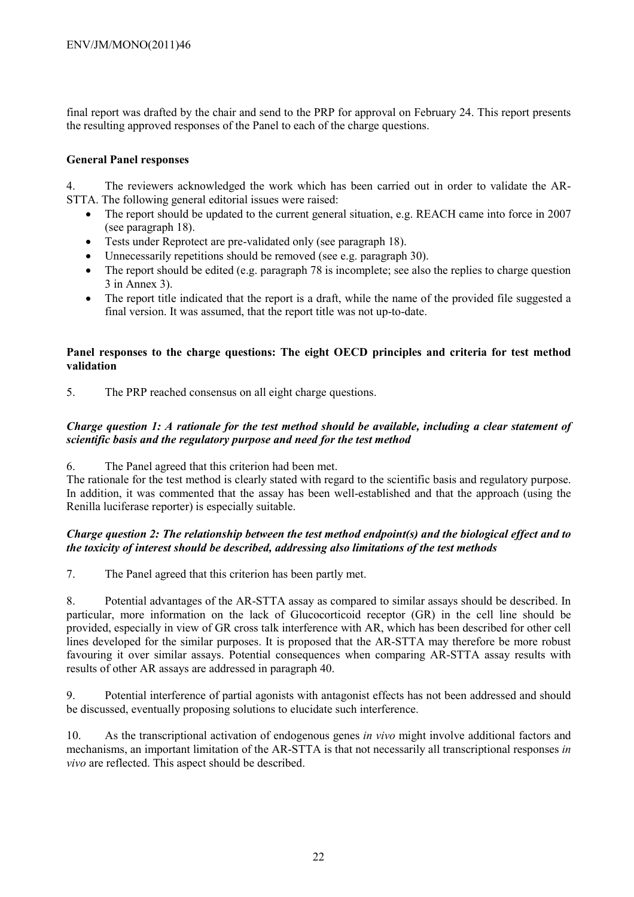final report was drafted by the chair and send to the PRP for approval on February 24. This report presents the resulting approved responses of the Panel to each of the charge questions.

#### **General Panel responses**

4. The reviewers acknowledged the work which has been carried out in order to validate the AR-STTA. The following general editorial issues were raised:

- The report should be updated to the current general situation, e.g. REACH came into force in 2007 (see paragraph 18).
- Tests under Reprotect are pre-validated only (see paragraph 18).
- Unnecessarily repetitions should be removed (see e.g. paragraph 30).
- The report should be edited (e.g. paragraph 78 is incomplete; see also the replies to charge question 3 in Annex 3).
- The report title indicated that the report is a draft, while the name of the provided file suggested a final version. It was assumed, that the report title was not up-to-date.

#### **Panel responses to the charge questions: The eight OECD principles and criteria for test method validation**

5. The PRP reached consensus on all eight charge questions.

#### *Charge question 1: A rationale for the test method should be available, including a clear statement of scientific basis and the regulatory purpose and need for the test method*

6. The Panel agreed that this criterion had been met.

The rationale for the test method is clearly stated with regard to the scientific basis and regulatory purpose. In addition, it was commented that the assay has been well-established and that the approach (using the Renilla luciferase reporter) is especially suitable.

#### *Charge question 2: The relationship between the test method endpoint(s) and the biological effect and to the toxicity of interest should be described, addressing also limitations of the test methods*

7. The Panel agreed that this criterion has been partly met.

8. Potential advantages of the AR-STTA assay as compared to similar assays should be described. In particular, more information on the lack of Glucocorticoid receptor (GR) in the cell line should be provided, especially in view of GR cross talk interference with AR, which has been described for other cell lines developed for the similar purposes. It is proposed that the AR-STTA may therefore be more robust favouring it over similar assays. Potential consequences when comparing AR-STTA assay results with results of other AR assays are addressed in paragraph 40.

9. Potential interference of partial agonists with antagonist effects has not been addressed and should be discussed, eventually proposing solutions to elucidate such interference.

10. As the transcriptional activation of endogenous genes *in vivo* might involve additional factors and mechanisms, an important limitation of the AR-STTA is that not necessarily all transcriptional responses *in vivo* are reflected. This aspect should be described.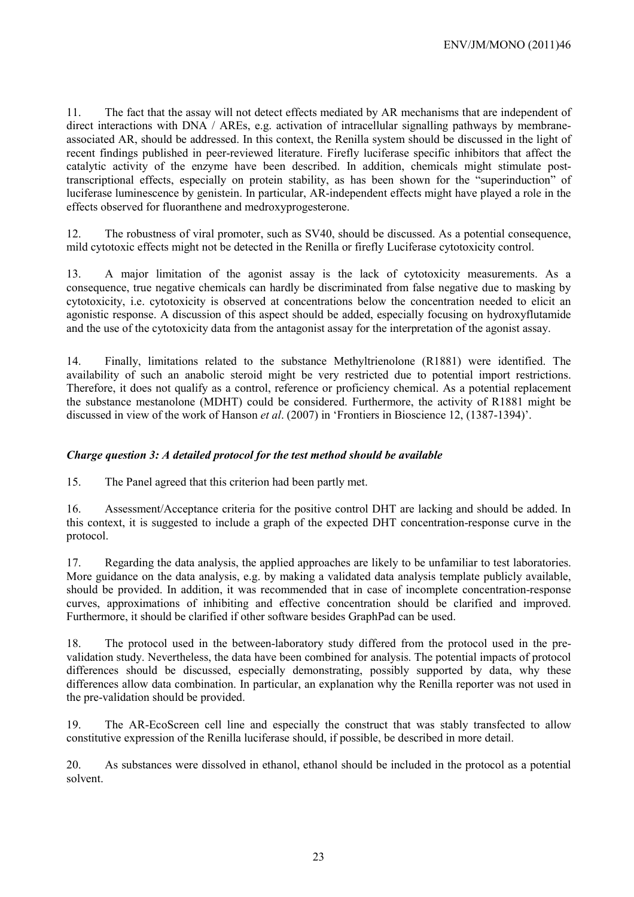11. The fact that the assay will not detect effects mediated by AR mechanisms that are independent of direct interactions with DNA / AREs, e.g. activation of intracellular signalling pathways by membraneassociated AR, should be addressed. In this context, the Renilla system should be discussed in the light of recent findings published in peer-reviewed literature. Firefly luciferase specific inhibitors that affect the catalytic activity of the enzyme have been described. In addition, chemicals might stimulate posttranscriptional effects, especially on protein stability, as has been shown for the "superinduction" of luciferase luminescence by genistein. In particular, AR-independent effects might have played a role in the effects observed for fluoranthene and medroxyprogesterone.

12. The robustness of viral promoter, such as SV40, should be discussed. As a potential consequence, mild cytotoxic effects might not be detected in the Renilla or firefly Luciferase cytotoxicity control.

13. A major limitation of the agonist assay is the lack of cytotoxicity measurements. As a consequence, true negative chemicals can hardly be discriminated from false negative due to masking by cytotoxicity, i.e. cytotoxicity is observed at concentrations below the concentration needed to elicit an agonistic response. A discussion of this aspect should be added, especially focusing on hydroxyflutamide and the use of the cytotoxicity data from the antagonist assay for the interpretation of the agonist assay.

14. Finally, limitations related to the substance Methyltrienolone (R1881) were identified. The availability of such an anabolic steroid might be very restricted due to potential import restrictions. Therefore, it does not qualify as a control, reference or proficiency chemical. As a potential replacement the substance mestanolone (MDHT) could be considered. Furthermore, the activity of R1881 might be discussed in view of the work of Hanson *et al*. (2007) in 'Frontiers in Bioscience 12, (1387-1394)'.

#### *Charge question 3: A detailed protocol for the test method should be available*

15. The Panel agreed that this criterion had been partly met.

16. Assessment/Acceptance criteria for the positive control DHT are lacking and should be added. In this context, it is suggested to include a graph of the expected DHT concentration-response curve in the protocol.

17. Regarding the data analysis, the applied approaches are likely to be unfamiliar to test laboratories. More guidance on the data analysis, e.g. by making a validated data analysis template publicly available, should be provided. In addition, it was recommended that in case of incomplete concentration-response curves, approximations of inhibiting and effective concentration should be clarified and improved. Furthermore, it should be clarified if other software besides GraphPad can be used.

18. The protocol used in the between-laboratory study differed from the protocol used in the prevalidation study. Nevertheless, the data have been combined for analysis. The potential impacts of protocol differences should be discussed, especially demonstrating, possibly supported by data, why these differences allow data combination. In particular, an explanation why the Renilla reporter was not used in the pre-validation should be provided.

19. The AR-EcoScreen cell line and especially the construct that was stably transfected to allow constitutive expression of the Renilla luciferase should, if possible, be described in more detail.

20. As substances were dissolved in ethanol, ethanol should be included in the protocol as a potential solvent.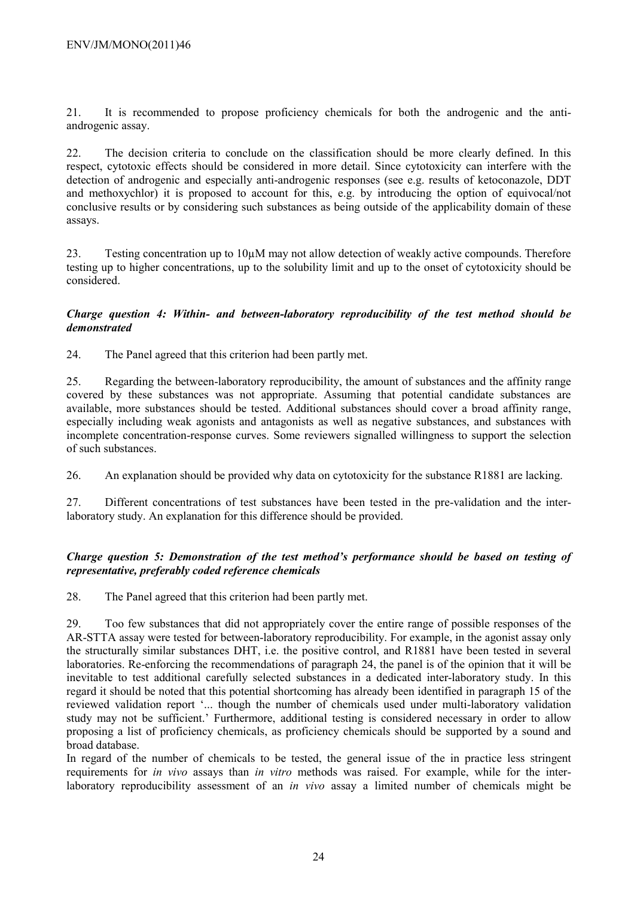21. It is recommended to propose proficiency chemicals for both the androgenic and the antiandrogenic assay.

22. The decision criteria to conclude on the classification should be more clearly defined. In this respect, cytotoxic effects should be considered in more detail. Since cytotoxicity can interfere with the detection of androgenic and especially anti-androgenic responses (see e.g. results of ketoconazole, DDT and methoxychlor) it is proposed to account for this, e.g. by introducing the option of equivocal/not conclusive results or by considering such substances as being outside of the applicability domain of these assays.

23. Testing concentration up to 10µM may not allow detection of weakly active compounds. Therefore testing up to higher concentrations, up to the solubility limit and up to the onset of cytotoxicity should be considered.

#### *Charge question 4: Within- and between-laboratory reproducibility of the test method should be demonstrated*

24. The Panel agreed that this criterion had been partly met.

25. Regarding the between-laboratory reproducibility, the amount of substances and the affinity range covered by these substances was not appropriate. Assuming that potential candidate substances are available, more substances should be tested. Additional substances should cover a broad affinity range, especially including weak agonists and antagonists as well as negative substances, and substances with incomplete concentration-response curves. Some reviewers signalled willingness to support the selection of such substances.

26. An explanation should be provided why data on cytotoxicity for the substance R1881 are lacking.

27. Different concentrations of test substances have been tested in the pre-validation and the interlaboratory study. An explanation for this difference should be provided.

#### *Charge question 5: Demonstration of the test method's performance should be based on testing of representative, preferably coded reference chemicals*

28. The Panel agreed that this criterion had been partly met.

29. Too few substances that did not appropriately cover the entire range of possible responses of the AR-STTA assay were tested for between-laboratory reproducibility. For example, in the agonist assay only the structurally similar substances DHT, i.e. the positive control, and R1881 have been tested in several laboratories. Re-enforcing the recommendations of paragraph 24, the panel is of the opinion that it will be inevitable to test additional carefully selected substances in a dedicated inter-laboratory study. In this regard it should be noted that this potential shortcoming has already been identified in paragraph 15 of the reviewed validation report '... though the number of chemicals used under multi-laboratory validation study may not be sufficient.' Furthermore, additional testing is considered necessary in order to allow proposing a list of proficiency chemicals, as proficiency chemicals should be supported by a sound and broad database.

In regard of the number of chemicals to be tested, the general issue of the in practice less stringent requirements for *in vivo* assays than *in vitro* methods was raised. For example, while for the interlaboratory reproducibility assessment of an *in vivo* assay a limited number of chemicals might be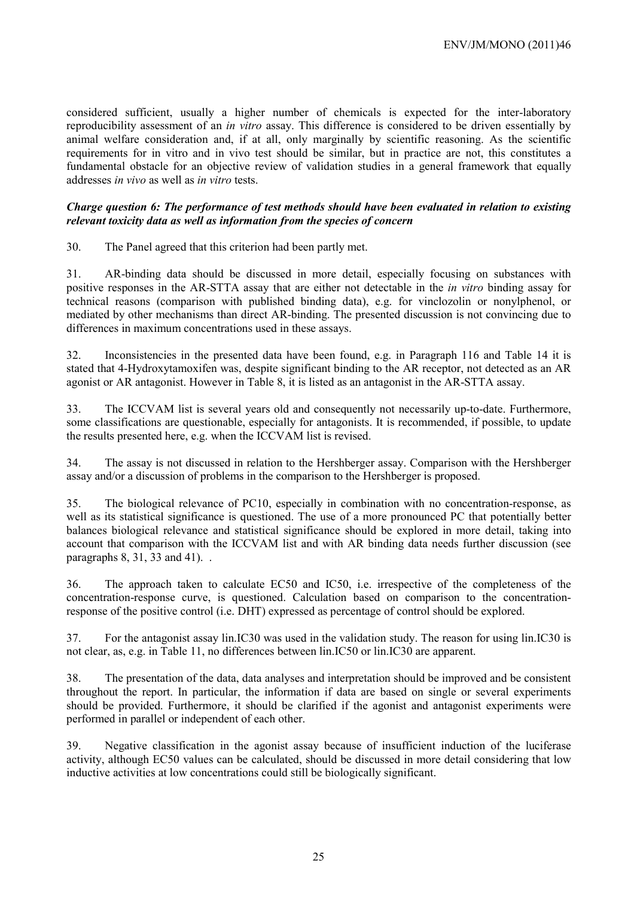considered sufficient, usually a higher number of chemicals is expected for the inter-laboratory reproducibility assessment of an *in vitro* assay. This difference is considered to be driven essentially by animal welfare consideration and, if at all, only marginally by scientific reasoning. As the scientific requirements for in vitro and in vivo test should be similar, but in practice are not, this constitutes a fundamental obstacle for an objective review of validation studies in a general framework that equally addresses *in vivo* as well as *in vitro* tests.

#### *Charge question 6: The performance of test methods should have been evaluated in relation to existing relevant toxicity data as well as information from the species of concern*

30. The Panel agreed that this criterion had been partly met.

31. AR-binding data should be discussed in more detail, especially focusing on substances with positive responses in the AR-STTA assay that are either not detectable in the *in vitro* binding assay for technical reasons (comparison with published binding data), e.g. for vinclozolin or nonylphenol, or mediated by other mechanisms than direct AR-binding. The presented discussion is not convincing due to differences in maximum concentrations used in these assays.

32. Inconsistencies in the presented data have been found, e.g. in Paragraph 116 and Table 14 it is stated that 4-Hydroxytamoxifen was, despite significant binding to the AR receptor, not detected as an AR agonist or AR antagonist. However in Table 8, it is listed as an antagonist in the AR-STTA assay.

33. The ICCVAM list is several years old and consequently not necessarily up-to-date. Furthermore, some classifications are questionable, especially for antagonists. It is recommended, if possible, to update the results presented here, e.g. when the ICCVAM list is revised.

34. The assay is not discussed in relation to the Hershberger assay. Comparison with the Hershberger assay and/or a discussion of problems in the comparison to the Hershberger is proposed.

35. The biological relevance of PC10, especially in combination with no concentration-response, as well as its statistical significance is questioned. The use of a more pronounced PC that potentially better balances biological relevance and statistical significance should be explored in more detail, taking into account that comparison with the ICCVAM list and with AR binding data needs further discussion (see paragraphs 8, 31, 33 and 41). .

36. The approach taken to calculate EC50 and IC50, i.e. irrespective of the completeness of the concentration-response curve, is questioned. Calculation based on comparison to the concentrationresponse of the positive control (i.e. DHT) expressed as percentage of control should be explored.

37. For the antagonist assay lin.IC30 was used in the validation study. The reason for using lin.IC30 is not clear, as, e.g. in Table 11, no differences between lin.IC50 or lin.IC30 are apparent.

38. The presentation of the data, data analyses and interpretation should be improved and be consistent throughout the report. In particular, the information if data are based on single or several experiments should be provided. Furthermore, it should be clarified if the agonist and antagonist experiments were performed in parallel or independent of each other.

39. Negative classification in the agonist assay because of insufficient induction of the luciferase activity, although EC50 values can be calculated, should be discussed in more detail considering that low inductive activities at low concentrations could still be biologically significant.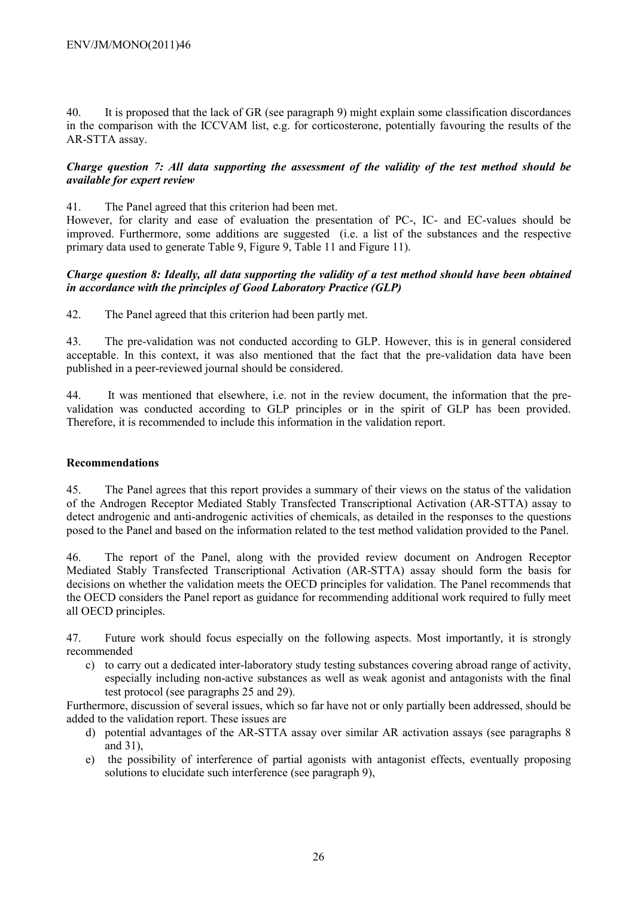40. It is proposed that the lack of GR (see paragraph 9) might explain some classification discordances in the comparison with the ICCVAM list, e.g. for corticosterone, potentially favouring the results of the AR-STTA assay.

#### *Charge question 7: All data supporting the assessment of the validity of the test method should be available for expert review*

41. The Panel agreed that this criterion had been met.

However, for clarity and ease of evaluation the presentation of PC-, IC- and EC-values should be improved. Furthermore, some additions are suggested (i.e. a list of the substances and the respective primary data used to generate Table 9, Figure 9, Table 11 and Figure 11).

#### *Charge question 8: Ideally, all data supporting the validity of a test method should have been obtained in accordance with the principles of Good Laboratory Practice (GLP)*

42. The Panel agreed that this criterion had been partly met.

43. The pre-validation was not conducted according to GLP. However, this is in general considered acceptable. In this context, it was also mentioned that the fact that the pre-validation data have been published in a peer-reviewed journal should be considered.

44. It was mentioned that elsewhere, i.e. not in the review document, the information that the prevalidation was conducted according to GLP principles or in the spirit of GLP has been provided. Therefore, it is recommended to include this information in the validation report.

#### **Recommendations**

45. The Panel agrees that this report provides a summary of their views on the status of the validation of the Androgen Receptor Mediated Stably Transfected Transcriptional Activation (AR-STTA) assay to detect androgenic and anti-androgenic activities of chemicals, as detailed in the responses to the questions posed to the Panel and based on the information related to the test method validation provided to the Panel.

46. The report of the Panel, along with the provided review document on Androgen Receptor Mediated Stably Transfected Transcriptional Activation (AR-STTA) assay should form the basis for decisions on whether the validation meets the OECD principles for validation. The Panel recommends that the OECD considers the Panel report as guidance for recommending additional work required to fully meet all OECD principles.

47. Future work should focus especially on the following aspects. Most importantly, it is strongly recommended

c) to carry out a dedicated inter-laboratory study testing substances covering abroad range of activity, especially including non-active substances as well as weak agonist and antagonists with the final test protocol (see paragraphs 25 and 29).

Furthermore, discussion of several issues, which so far have not or only partially been addressed, should be added to the validation report. These issues are

- d) potential advantages of the AR-STTA assay over similar AR activation assays (see paragraphs 8 and 31),
- e) the possibility of interference of partial agonists with antagonist effects, eventually proposing solutions to elucidate such interference (see paragraph 9),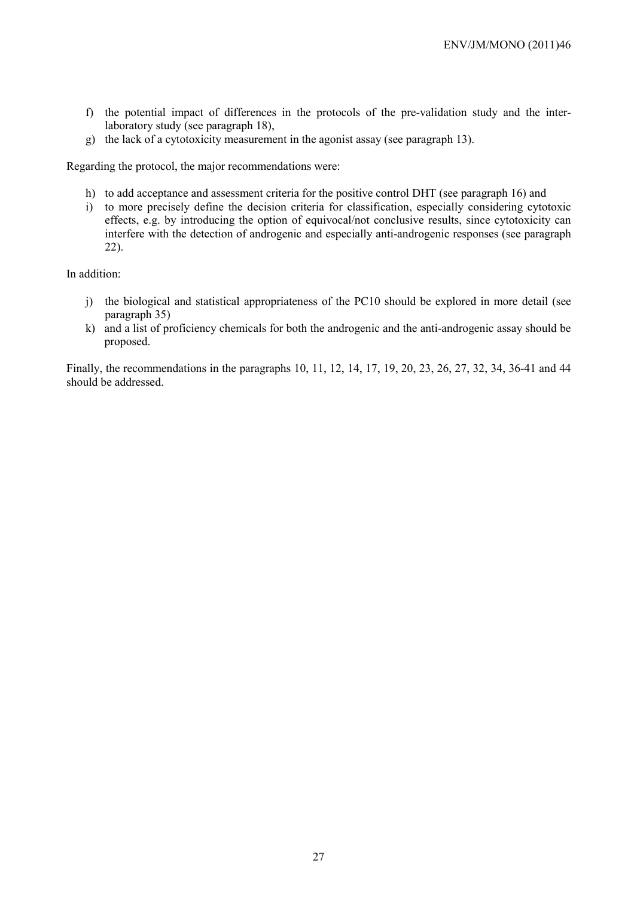- f) the potential impact of differences in the protocols of the pre-validation study and the interlaboratory study (see paragraph 18),
- g) the lack of a cytotoxicity measurement in the agonist assay (see paragraph 13).

Regarding the protocol, the major recommendations were:

- h) to add acceptance and assessment criteria for the positive control DHT (see paragraph 16) and
- i) to more precisely define the decision criteria for classification, especially considering cytotoxic effects, e.g. by introducing the option of equivocal/not conclusive results, since cytotoxicity can interfere with the detection of androgenic and especially anti-androgenic responses (see paragraph 22).

In addition:

- j) the biological and statistical appropriateness of the PC10 should be explored in more detail (see paragraph 35)
- k) and a list of proficiency chemicals for both the androgenic and the anti-androgenic assay should be proposed.

Finally, the recommendations in the paragraphs 10, 11, 12, 14, 17, 19, 20, 23, 26, 27, 32, 34, 36-41 and 44 should be addressed.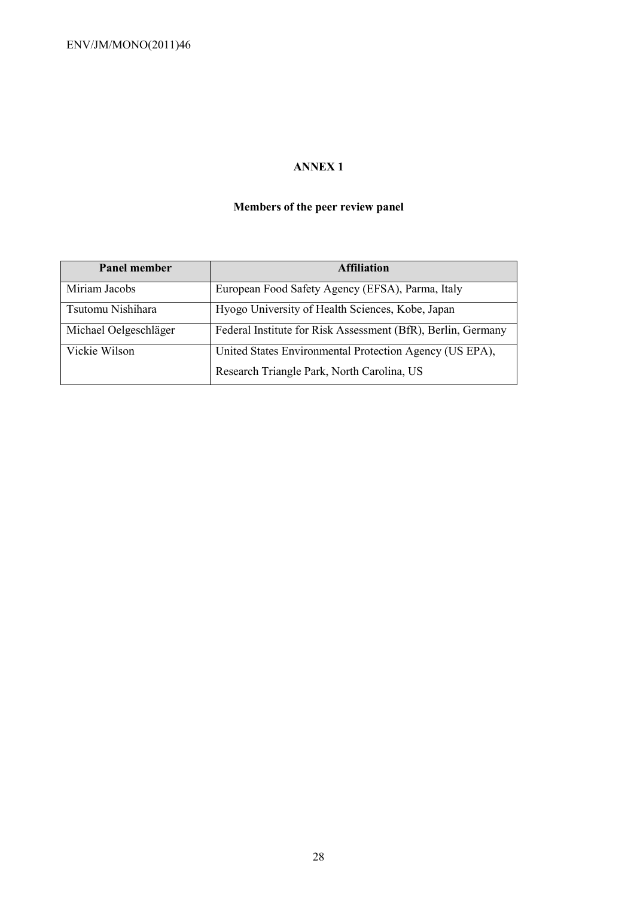### **ANNEX 1**

# **Members of the peer review panel**

| <b>Panel member</b>   | <b>Affiliation</b>                                           |  |
|-----------------------|--------------------------------------------------------------|--|
| Miriam Jacobs         | European Food Safety Agency (EFSA), Parma, Italy             |  |
| Tsutomu Nishihara     | Hyogo University of Health Sciences, Kobe, Japan             |  |
| Michael Oelgeschläger | Federal Institute for Risk Assessment (BfR), Berlin, Germany |  |
| Vickie Wilson         | United States Environmental Protection Agency (US EPA),      |  |
|                       | Research Triangle Park, North Carolina, US                   |  |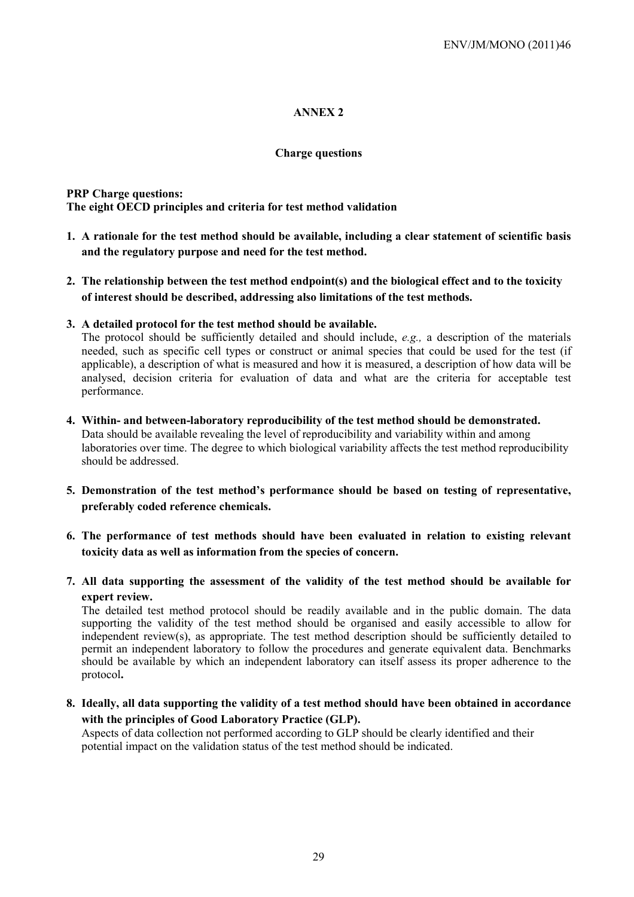#### **ANNEX 2**

#### **Charge questions**

**PRP Charge questions: The eight OECD principles and criteria for test method validation** 

- **1. A rationale for the test method should be available, including a clear statement of scientific basis and the regulatory purpose and need for the test method.**
- **2. The relationship between the test method endpoint(s) and the biological effect and to the toxicity of interest should be described, addressing also limitations of the test methods.**
- **3. A detailed protocol for the test method should be available.**

The protocol should be sufficiently detailed and should include, *e.g.,* a description of the materials needed, such as specific cell types or construct or animal species that could be used for the test (if applicable), a description of what is measured and how it is measured, a description of how data will be analysed, decision criteria for evaluation of data and what are the criteria for acceptable test performance.

- **4. Within- and between-laboratory reproducibility of the test method should be demonstrated.**  Data should be available revealing the level of reproducibility and variability within and among laboratories over time. The degree to which biological variability affects the test method reproducibility should be addressed.
- **5. Demonstration of the test method's performance should be based on testing of representative, preferably coded reference chemicals.**
- **6. The performance of test methods should have been evaluated in relation to existing relevant toxicity data as well as information from the species of concern.**
- **7. All data supporting the assessment of the validity of the test method should be available for expert review.**

The detailed test method protocol should be readily available and in the public domain. The data supporting the validity of the test method should be organised and easily accessible to allow for independent review(s), as appropriate. The test method description should be sufficiently detailed to permit an independent laboratory to follow the procedures and generate equivalent data. Benchmarks should be available by which an independent laboratory can itself assess its proper adherence to the protocol**.** 

**8. Ideally, all data supporting the validity of a test method should have been obtained in accordance with the principles of Good Laboratory Practice (GLP).** 

Aspects of data collection not performed according to GLP should be clearly identified and their potential impact on the validation status of the test method should be indicated.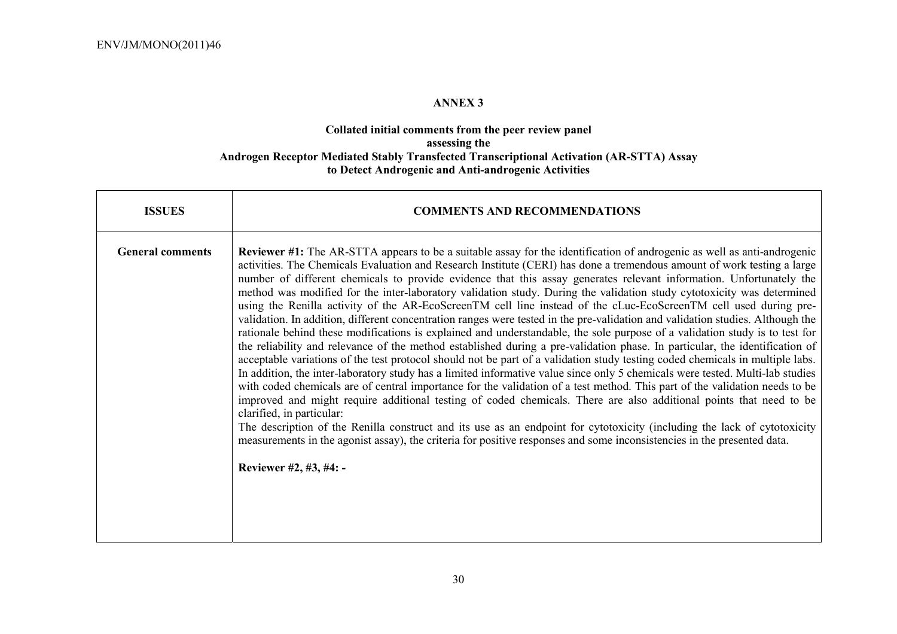#### **ANNEX 3**

#### **Collated initial comments from the peer review panel assessing the Androgen Receptor Mediated Stably Transfected Transcriptional Activation (AR-STTA) Assay to Detect Androgenic and Anti-androgenic Activities**

| <b>ISSUES</b>           | <b>COMMENTS AND RECOMMENDATIONS</b>                                                                                                                                                                                                                                                                                                                                                                                                                                                                                                                                                                                                                                                                                                                                                                                                                                                                                                                                                                                                                                                                                                                                                                                                                                                                                                                                                                                                                                                                                                                                                                                                                                                                                                                                                                                                                                 |
|-------------------------|---------------------------------------------------------------------------------------------------------------------------------------------------------------------------------------------------------------------------------------------------------------------------------------------------------------------------------------------------------------------------------------------------------------------------------------------------------------------------------------------------------------------------------------------------------------------------------------------------------------------------------------------------------------------------------------------------------------------------------------------------------------------------------------------------------------------------------------------------------------------------------------------------------------------------------------------------------------------------------------------------------------------------------------------------------------------------------------------------------------------------------------------------------------------------------------------------------------------------------------------------------------------------------------------------------------------------------------------------------------------------------------------------------------------------------------------------------------------------------------------------------------------------------------------------------------------------------------------------------------------------------------------------------------------------------------------------------------------------------------------------------------------------------------------------------------------------------------------------------------------|
| <b>General comments</b> | <b>Reviewer #1:</b> The AR-STTA appears to be a suitable assay for the identification of androgenic as well as anti-androgenic<br>activities. The Chemicals Evaluation and Research Institute (CERI) has done a tremendous amount of work testing a large<br>number of different chemicals to provide evidence that this assay generates relevant information. Unfortunately the<br>method was modified for the inter-laboratory validation study. During the validation study cytotoxicity was determined<br>using the Renilla activity of the AR-EcoScreenTM cell line instead of the cLuc-EcoScreenTM cell used during pre-<br>validation. In addition, different concentration ranges were tested in the pre-validation and validation studies. Although the<br>rationale behind these modifications is explained and understandable, the sole purpose of a validation study is to test for<br>the reliability and relevance of the method established during a pre-validation phase. In particular, the identification of<br>acceptable variations of the test protocol should not be part of a validation study testing coded chemicals in multiple labs.<br>In addition, the inter-laboratory study has a limited informative value since only 5 chemicals were tested. Multi-lab studies<br>with coded chemicals are of central importance for the validation of a test method. This part of the validation needs to be<br>improved and might require additional testing of coded chemicals. There are also additional points that need to be<br>clarified, in particular:<br>The description of the Renilla construct and its use as an endpoint for cytotoxicity (including the lack of cytotoxicity<br>measurements in the agonist assay), the criteria for positive responses and some inconsistencies in the presented data.<br>Reviewer #2, #3, #4: - |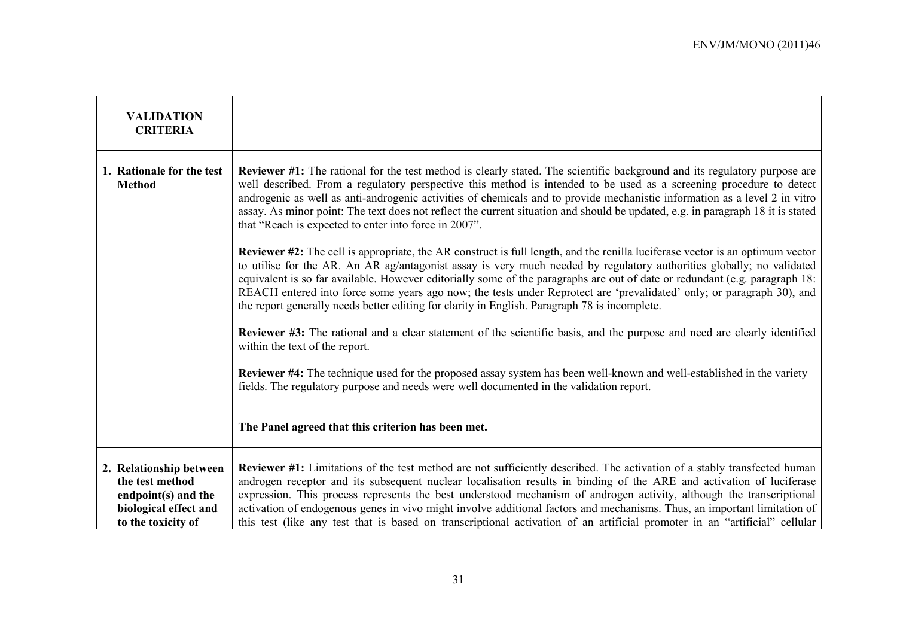| <b>VALIDATION</b><br><b>CRITERIA</b>                                                                             |                                                                                                                                                                                                                                                                                                                                                                                                                                                                                                                                                                                                                                           |
|------------------------------------------------------------------------------------------------------------------|-------------------------------------------------------------------------------------------------------------------------------------------------------------------------------------------------------------------------------------------------------------------------------------------------------------------------------------------------------------------------------------------------------------------------------------------------------------------------------------------------------------------------------------------------------------------------------------------------------------------------------------------|
| 1. Rationale for the test<br><b>Method</b>                                                                       | <b>Reviewer #1:</b> The rational for the test method is clearly stated. The scientific background and its regulatory purpose are<br>well described. From a regulatory perspective this method is intended to be used as a screening procedure to detect<br>androgenic as well as anti-androgenic activities of chemicals and to provide mechanistic information as a level 2 in vitro<br>assay. As minor point: The text does not reflect the current situation and should be updated, e.g. in paragraph 18 it is stated<br>that "Reach is expected to enter into force in 2007".                                                         |
|                                                                                                                  | <b>Reviewer #2:</b> The cell is appropriate, the AR construct is full length, and the renilla luciferase vector is an optimum vector<br>to utilise for the AR. An AR ag/antagonist assay is very much needed by regulatory authorities globally; no validated<br>equivalent is so far available. However editorially some of the paragraphs are out of date or redundant (e.g. paragraph 18:<br>REACH entered into force some years ago now; the tests under Reprotect are 'prevalidated' only; or paragraph 30), and<br>the report generally needs better editing for clarity in English. Paragraph 78 is incomplete.                    |
|                                                                                                                  | <b>Reviewer #3:</b> The rational and a clear statement of the scientific basis, and the purpose and need are clearly identified<br>within the text of the report.                                                                                                                                                                                                                                                                                                                                                                                                                                                                         |
|                                                                                                                  | Reviewer #4: The technique used for the proposed assay system has been well-known and well-established in the variety<br>fields. The regulatory purpose and needs were well documented in the validation report.                                                                                                                                                                                                                                                                                                                                                                                                                          |
|                                                                                                                  | The Panel agreed that this criterion has been met.                                                                                                                                                                                                                                                                                                                                                                                                                                                                                                                                                                                        |
| 2. Relationship between<br>the test method<br>endpoint(s) and the<br>biological effect and<br>to the toxicity of | <b>Reviewer #1:</b> Limitations of the test method are not sufficiently described. The activation of a stably transfected human<br>androgen receptor and its subsequent nuclear localisation results in binding of the ARE and activation of luciferase<br>expression. This process represents the best understood mechanism of androgen activity, although the transcriptional<br>activation of endogenous genes in vivo might involve additional factors and mechanisms. Thus, an important limitation of<br>this test (like any test that is based on transcriptional activation of an artificial promoter in an "artificial" cellular |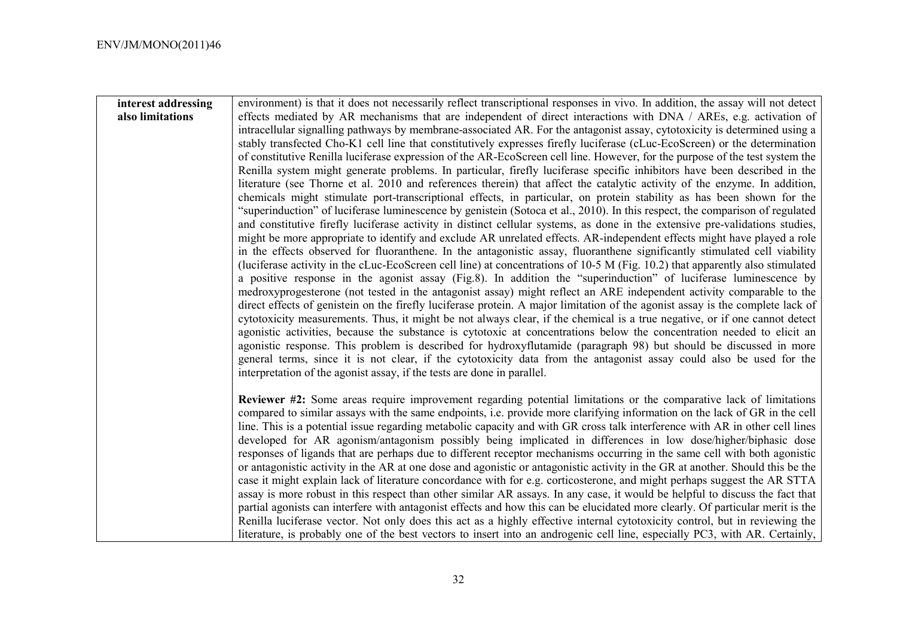**interest addressing also limitations**  environment) is that it does not necessarily reflect transcriptional responses in vivo. In addition, the assay will not detect effects mediated by AR mechanisms that are independent of direct interactions with DNA / AREs, e.g. activation of intracellular signalling pathways by membrane-associated AR. For the antagonist assay, cytotoxicity is determined using a stably transfected Cho-K1 cell line that constitutively expresses firefly luciferase (cLuc-EcoScreen) or the determination of constitutive Renilla luciferase expression of the AR-EcoScreen cell line. However, for the purpose of the test system the Renilla system might generate problems. In particular, firefly luciferase specific inhibitors have been described in the literature (see Thorne et al. 2010 and references therein) that affect the catalytic activity of the enzyme. In addition, chemicals might stimulate port-transcriptional effects, in particular, on protein stability as has been shown for the "superinduction" of luciferase luminescence by genistein (Sotoca et al., 2010). In this respect, the comparison of regulated and constitutive firefly luciferase activity in distinct cellular systems, as done in the extensive pre-validations studies, might be more appropriate to identify and exclude AR unrelated effects. AR-independent effects might have played a role in the effects observed for fluoranthene. In the antagonistic assay, fluoranthene significantly stimulated cell viability (luciferase activity in the cLuc-EcoScreen cell line) at concentrations of 10-5 M (Fig. 10.2) that apparently also stimulated a positive response in the agonist assay (Fig.8). In addition the "superinduction" of luciferase luminescence by medroxyprogesterone (not tested in the antagonist assay) might reflect an ARE independent activity comparable to the direct effects of genistein on the firefly luciferase protein. A major limitation of the agonist assay is the complete lack of cytotoxicity measurements. Thus, it might be not always clear, if the chemical is a true negative, or if one cannot detect agonistic activities, because the substance is cytotoxic at concentrations below the concentration needed to elicit an agonistic response. This problem is described for hydroxyflutamide (paragraph 98) but should be discussed in more general terms, since it is not clear, if the cytotoxicity data from the antagonist assay could also be used for the interpretation of the agonist assay, if the tests are done in parallel. **Reviewer #2:** Some areas require improvement regarding potential limitations or the comparative lack of limitations compared to similar assays with the same endpoints, i.e. provide more clarifying information on the lack of GR in the cell line. This is a potential issue regarding metabolic capacity and with GR cross talk interference with AR in other cell lines developed for AR agonism/antagonism possibly being implicated in differences in low dose/higher/biphasic dose responses of ligands that are perhaps due to different receptor mechanisms occurring in the same cell with both agonistic or antagonistic activity in the AR at one dose and agonistic or antagonistic activity in the GR at another. Should this be the case it might explain lack of literature concordance with for e.g. corticosterone, and might perhaps suggest the AR STTA assay is more robust in this respect than other similar AR assays. In any case, it would be helpful to discuss the fact that partial agonists can interfere with antagonist effects and how this can be elucidated more clearly. Of particular merit is the Renilla luciferase vector. Not only does this act as a highly effective internal cytotoxicity control, but in reviewing the literature, is probably one of the best vectors to insert into an androgenic cell line, especially PC3, with AR. Certainly,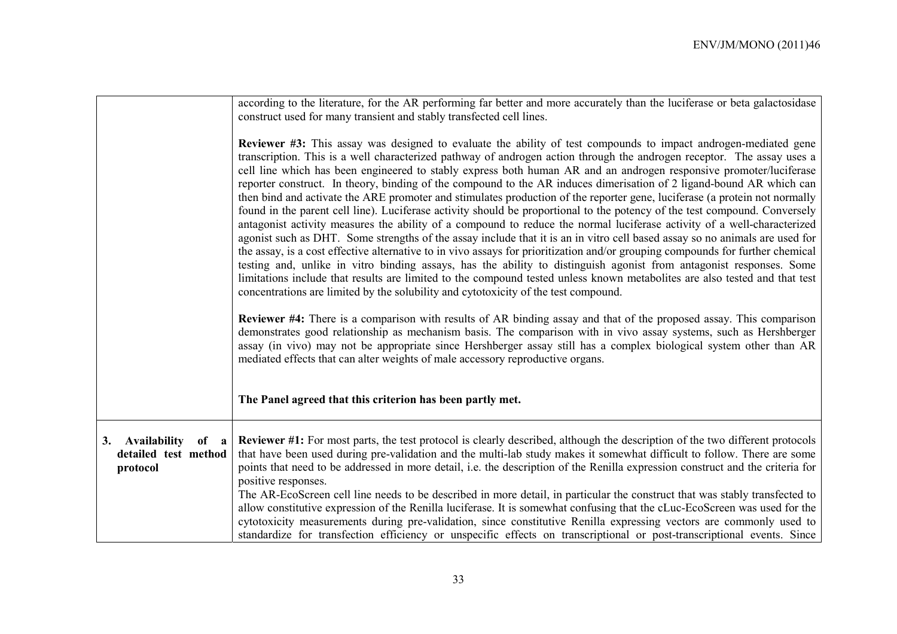|                                                                | according to the literature, for the AR performing far better and more accurately than the luciferase or beta galactosidase<br>construct used for many transient and stably transfected cell lines.                                                                                                                                                                                                                                                                                                                                                                                                                                                                                                                                                                                                                                                                                                                                                                                                                                                                                                                                                                                                                                                                                                                                                                                                                                                                                                |  |
|----------------------------------------------------------------|----------------------------------------------------------------------------------------------------------------------------------------------------------------------------------------------------------------------------------------------------------------------------------------------------------------------------------------------------------------------------------------------------------------------------------------------------------------------------------------------------------------------------------------------------------------------------------------------------------------------------------------------------------------------------------------------------------------------------------------------------------------------------------------------------------------------------------------------------------------------------------------------------------------------------------------------------------------------------------------------------------------------------------------------------------------------------------------------------------------------------------------------------------------------------------------------------------------------------------------------------------------------------------------------------------------------------------------------------------------------------------------------------------------------------------------------------------------------------------------------------|--|
|                                                                | <b>Reviewer #3:</b> This assay was designed to evaluate the ability of test compounds to impact androgen-mediated gene<br>transcription. This is a well characterized pathway of androgen action through the androgen receptor. The assay uses a<br>cell line which has been engineered to stably express both human AR and an androgen responsive promoter/luciferase<br>reporter construct. In theory, binding of the compound to the AR induces dimerisation of 2 ligand-bound AR which can<br>then bind and activate the ARE promoter and stimulates production of the reporter gene, luciferase (a protein not normally<br>found in the parent cell line). Luciferase activity should be proportional to the potency of the test compound. Conversely<br>antagonist activity measures the ability of a compound to reduce the normal luciferase activity of a well-characterized<br>agonist such as DHT. Some strengths of the assay include that it is an in vitro cell based assay so no animals are used for<br>the assay, is a cost effective alternative to in vivo assays for prioritization and/or grouping compounds for further chemical<br>testing and, unlike in vitro binding assays, has the ability to distinguish agonist from antagonist responses. Some<br>limitations include that results are limited to the compound tested unless known metabolites are also tested and that test<br>concentrations are limited by the solubility and cytotoxicity of the test compound. |  |
|                                                                | Reviewer #4: There is a comparison with results of AR binding assay and that of the proposed assay. This comparison<br>demonstrates good relationship as mechanism basis. The comparison with in vivo assay systems, such as Hershberger<br>assay (in vivo) may not be appropriate since Hershberger assay still has a complex biological system other than AR<br>mediated effects that can alter weights of male accessory reproductive organs.                                                                                                                                                                                                                                                                                                                                                                                                                                                                                                                                                                                                                                                                                                                                                                                                                                                                                                                                                                                                                                                   |  |
|                                                                | The Panel agreed that this criterion has been partly met.                                                                                                                                                                                                                                                                                                                                                                                                                                                                                                                                                                                                                                                                                                                                                                                                                                                                                                                                                                                                                                                                                                                                                                                                                                                                                                                                                                                                                                          |  |
| Availability<br>of a<br>3.<br>detailed test method<br>protocol | <b>Reviewer #1:</b> For most parts, the test protocol is clearly described, although the description of the two different protocols<br>that have been used during pre-validation and the multi-lab study makes it somewhat difficult to follow. There are some<br>points that need to be addressed in more detail, i.e. the description of the Renilla expression construct and the criteria for<br>positive responses.<br>The AR-EcoScreen cell line needs to be described in more detail, in particular the construct that was stably transfected to<br>allow constitutive expression of the Renilla luciferase. It is somewhat confusing that the cLuc-EcoScreen was used for the<br>cytotoxicity measurements during pre-validation, since constitutive Renilla expressing vectors are commonly used to<br>standardize for transfection efficiency or unspecific effects on transcriptional or post-transcriptional events. Since                                                                                                                                                                                                                                                                                                                                                                                                                                                                                                                                                              |  |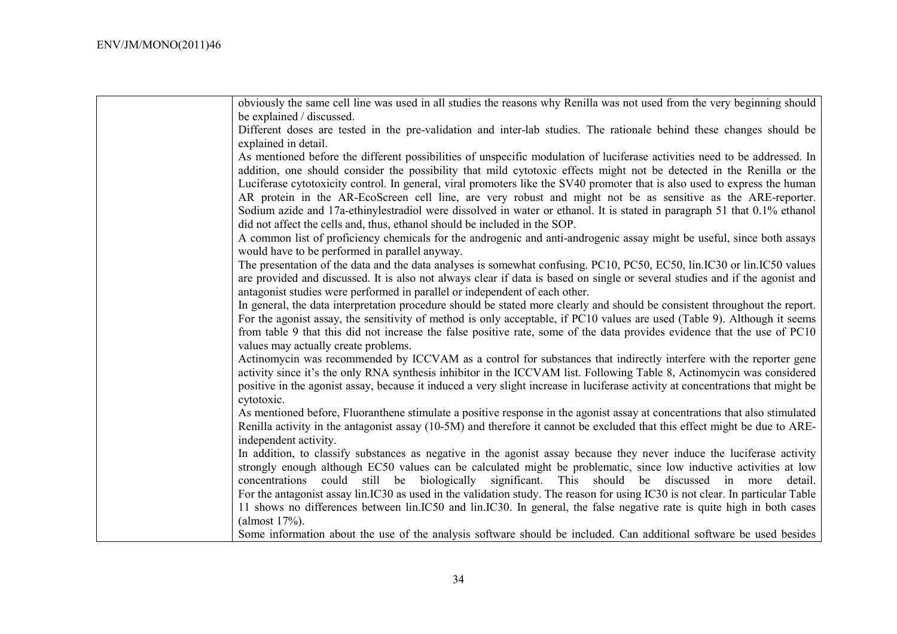| obviously the same cell line was used in all studies the reasons why Renilla was not used from the very beginning should                                                 |
|--------------------------------------------------------------------------------------------------------------------------------------------------------------------------|
| be explained / discussed.                                                                                                                                                |
| Different doses are tested in the pre-validation and inter-lab studies. The rationale behind these changes should be                                                     |
| explained in detail.                                                                                                                                                     |
| As mentioned before the different possibilities of unspecific modulation of luciferase activities need to be addressed. In                                               |
| addition, one should consider the possibility that mild cytotoxic effects might not be detected in the Renilla or the                                                    |
| Luciferase cytotoxicity control. In general, viral promoters like the SV40 promoter that is also used to express the human                                               |
| AR protein in the AR-EcoScreen cell line, are very robust and might not be as sensitive as the ARE-reporter.                                                             |
| Sodium azide and 17a-ethinylestradiol were dissolved in water or ethanol. It is stated in paragraph 51 that 0.1% ethanol                                                 |
| did not affect the cells and, thus, ethanol should be included in the SOP.                                                                                               |
| A common list of proficiency chemicals for the androgenic and anti-androgenic assay might be useful, since both assays<br>would have to be performed in parallel anyway. |
| The presentation of the data and the data analyses is somewhat confusing. PC10, PC50, EC50, lin.IC30 or lin.IC50 values                                                  |
| are provided and discussed. It is also not always clear if data is based on single or several studies and if the agonist and                                             |
| antagonist studies were performed in parallel or independent of each other.                                                                                              |
| In general, the data interpretation procedure should be stated more clearly and should be consistent throughout the report.                                              |
| For the agonist assay, the sensitivity of method is only acceptable, if PC10 values are used (Table 9). Although it seems                                                |
| from table 9 that this did not increase the false positive rate, some of the data provides evidence that the use of PC10                                                 |
| values may actually create problems.                                                                                                                                     |
| Actinomycin was recommended by ICCVAM as a control for substances that indirectly interfere with the reporter gene                                                       |
| activity since it's the only RNA synthesis inhibitor in the ICCVAM list. Following Table 8, Actinomycin was considered                                                   |
| positive in the agonist assay, because it induced a very slight increase in luciferase activity at concentrations that might be                                          |
| cytotoxic.                                                                                                                                                               |
| As mentioned before, Fluoranthene stimulate a positive response in the agonist assay at concentrations that also stimulated                                              |
| Renilla activity in the antagonist assay (10-5M) and therefore it cannot be excluded that this effect might be due to ARE-                                               |
| independent activity.                                                                                                                                                    |
| In addition, to classify substances as negative in the agonist assay because they never induce the luciferase activity                                                   |
| strongly enough although EC50 values can be calculated might be problematic, since low inductive activities at low                                                       |
| concentrations could still be biologically significant. This should be discussed in more<br>detail.                                                                      |
| For the antagonist assay lin. IC30 as used in the validation study. The reason for using IC30 is not clear. In particular Table                                          |
| 11 shows no differences between lin. IC50 and lin. IC30. In general, the false negative rate is quite high in both cases                                                 |
| (almost $17\%$ ).                                                                                                                                                        |
| Some information about the use of the analysis software should be included. Can additional software be used besides                                                      |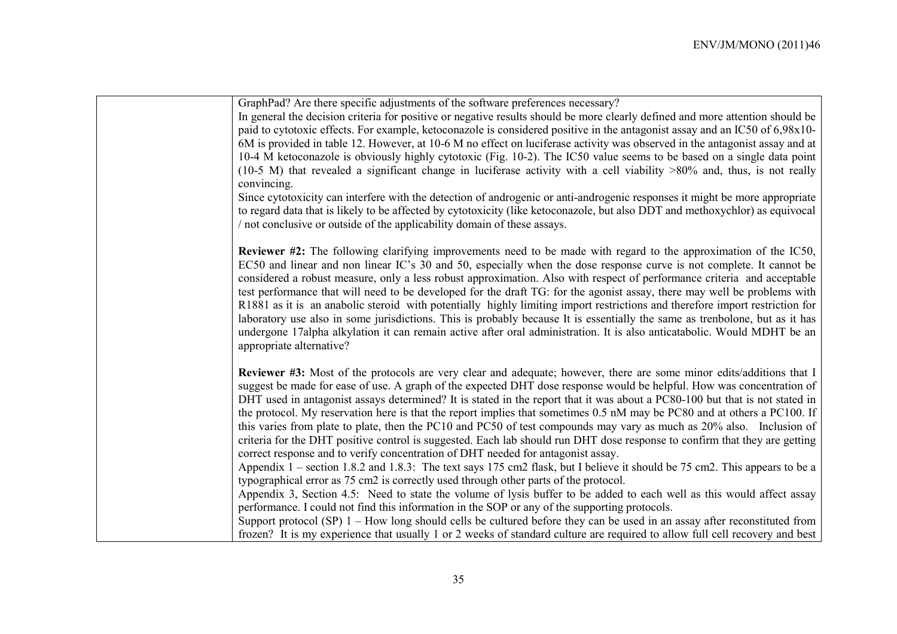GraphPad? Are there specific adjustments of the software preferences necessary? In general the decision criteria for positive or negative results should be more clearly defined and more attention should be paid to cytotoxic effects. For example, ketoconazole is considered positive in the antagonist assay and an IC50 of 6,98x10- 6M is provided in table 12. However, at 10-6 M no effect on luciferase activity was observed in the antagonist assay and at 10-4 M ketoconazole is obviously highly cytotoxic (Fig. 10-2). The IC50 value seems to be based on a single data point (10-5 M) that revealed a significant change in luciferase activity with a cell viability  $>80\%$  and, thus, is not really convincing. Since cytotoxicity can interfere with the detection of androgenic or anti-androgenic responses it might be more appropriate to regard data that is likely to be affected by cytotoxicity (like ketoconazole, but also DDT and methoxychlor) as equivocal / not conclusive or outside of the applicability domain of these assays. **Reviewer #2:** The following clarifying improvements need to be made with regard to the approximation of the IC50, EC50 and linear and non linear IC's 30 and 50, especially when the dose response curve is not complete. It cannot be considered a robust measure, only a less robust approximation. Also with respect of performance criteria and acceptable test performance that will need to be developed for the draft TG: for the agonist assay, there may well be problems with R1881 as it is an anabolic steroid with potentially highly limiting import restrictions and therefore import restriction for laboratory use also in some jurisdictions. This is probably because It is essentially the same as trenbolone, but as it has undergone 17alpha alkylation it can remain active after oral administration. It is also anticatabolic. Would MDHT be an appropriate alternative? **Reviewer #3:** Most of the protocols are very clear and adequate; however, there are some minor edits/additions that I suggest be made for ease of use. A graph of the expected DHT dose response would be helpful. How was concentration of DHT used in antagonist assays determined? It is stated in the report that it was about a PC80-100 but that is not stated in the protocol. My reservation here is that the report implies that sometimes 0.5 nM may be PC80 and at others a PC100. If this varies from plate to plate, then the PC10 and PC50 of test compounds may vary as much as 20% also. Inclusion of criteria for the DHT positive control is suggested. Each lab should run DHT dose response to confirm that they are getting correct response and to verify concentration of DHT needed for antagonist assay. Appendix 1 – section 1.8.2 and 1.8.3: The text says 175 cm2 flask, but I believe it should be 75 cm2. This appears to be a typographical error as 75 cm2 is correctly used through other parts of the protocol. Appendix 3, Section 4.5: Need to state the volume of lysis buffer to be added to each well as this would affect assay performance. I could not find this information in the SOP or any of the supporting protocols. Support protocol (SP) 1 – How long should cells be cultured before they can be used in an assay after reconstituted from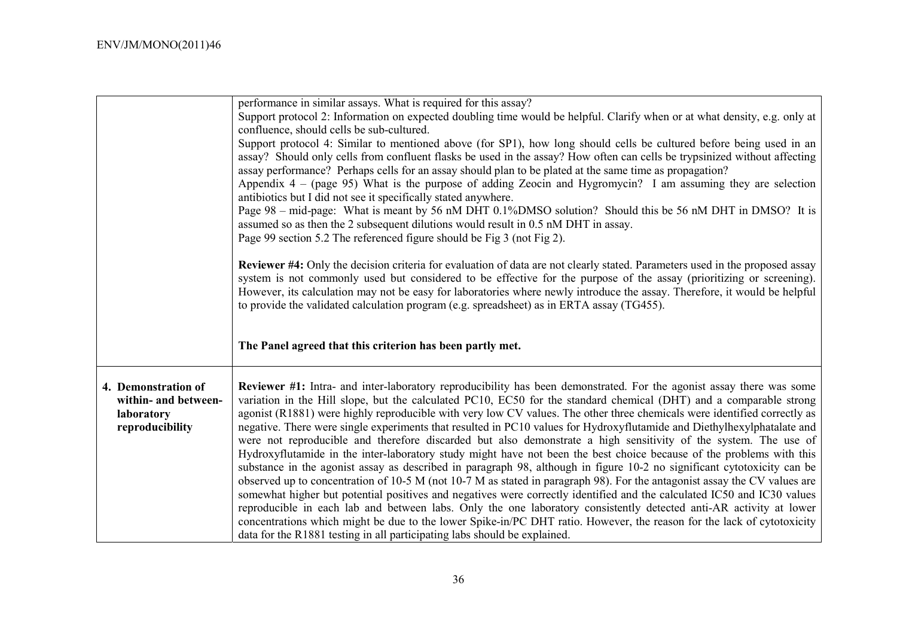|                      | performance in similar assays. What is required for this assay?<br>Support protocol 2: Information on expected doubling time would be helpful. Clarify when or at what density, e.g. only at                                                                |  |  |
|----------------------|-------------------------------------------------------------------------------------------------------------------------------------------------------------------------------------------------------------------------------------------------------------|--|--|
|                      | confluence, should cells be sub-cultured.                                                                                                                                                                                                                   |  |  |
|                      | Support protocol 4: Similar to mentioned above (for SP1), how long should cells be cultured before being used in an<br>assay? Should only cells from confluent flasks be used in the assay? How often can cells be trypsinized without affecting            |  |  |
|                      | assay performance? Perhaps cells for an assay should plan to be plated at the same time as propagation?                                                                                                                                                     |  |  |
|                      | Appendix $4 - (page 95)$ What is the purpose of adding Zeocin and Hygromycin? I am assuming they are selection<br>antibiotics but I did not see it specifically stated anywhere.                                                                            |  |  |
|                      | Page 98 – mid-page: What is meant by 56 nM DHT 0.1%DMSO solution? Should this be 56 nM DHT in DMSO? It is                                                                                                                                                   |  |  |
|                      | assumed so as then the 2 subsequent dilutions would result in 0.5 nM DHT in assay.                                                                                                                                                                          |  |  |
|                      | Page 99 section 5.2 The referenced figure should be Fig 3 (not Fig 2).                                                                                                                                                                                      |  |  |
|                      | <b>Reviewer #4:</b> Only the decision criteria for evaluation of data are not clearly stated. Parameters used in the proposed assay<br>system is not commonly used but considered to be effective for the purpose of the assay (prioritizing or screening). |  |  |
|                      | However, its calculation may not be easy for laboratories where newly introduce the assay. Therefore, it would be helpful<br>to provide the validated calculation program (e.g. spreadsheet) as in ERTA assay (TG455).                                      |  |  |
|                      | The Panel agreed that this criterion has been partly met.                                                                                                                                                                                                   |  |  |
| 4. Demonstration of  | <b>Reviewer #1:</b> Intra- and inter-laboratory reproducibility has been demonstrated. For the agonist assay there was some                                                                                                                                 |  |  |
| within- and between- | variation in the Hill slope, but the calculated PC10, EC50 for the standard chemical (DHT) and a comparable strong                                                                                                                                          |  |  |
| laboratory           | agonist (R1881) were highly reproducible with very low CV values. The other three chemicals were identified correctly as                                                                                                                                    |  |  |
| reproducibility      | negative. There were single experiments that resulted in PC10 values for Hydroxyflutamide and Diethylhexylphatalate and<br>were not reproducible and therefore discarded but also demonstrate a high sensitivity of the system. The use of                  |  |  |
|                      | Hydroxyflutamide in the inter-laboratory study might have not been the best choice because of the problems with this                                                                                                                                        |  |  |
|                      | substance in the agonist assay as described in paragraph 98, although in figure 10-2 no significant cytotoxicity can be                                                                                                                                     |  |  |
|                      | observed up to concentration of 10-5 M (not 10-7 M as stated in paragraph 98). For the antagonist assay the CV values are<br>somewhat higher but potential positives and negatives were correctly identified and the calculated IC50 and IC30 values        |  |  |
|                      | reproducible in each lab and between labs. Only the one laboratory consistently detected anti-AR activity at lower                                                                                                                                          |  |  |
|                      |                                                                                                                                                                                                                                                             |  |  |
|                      | concentrations which might be due to the lower Spike-in/PC DHT ratio. However, the reason for the lack of cytotoxicity<br>data for the R1881 testing in all participating labs should be explained.                                                         |  |  |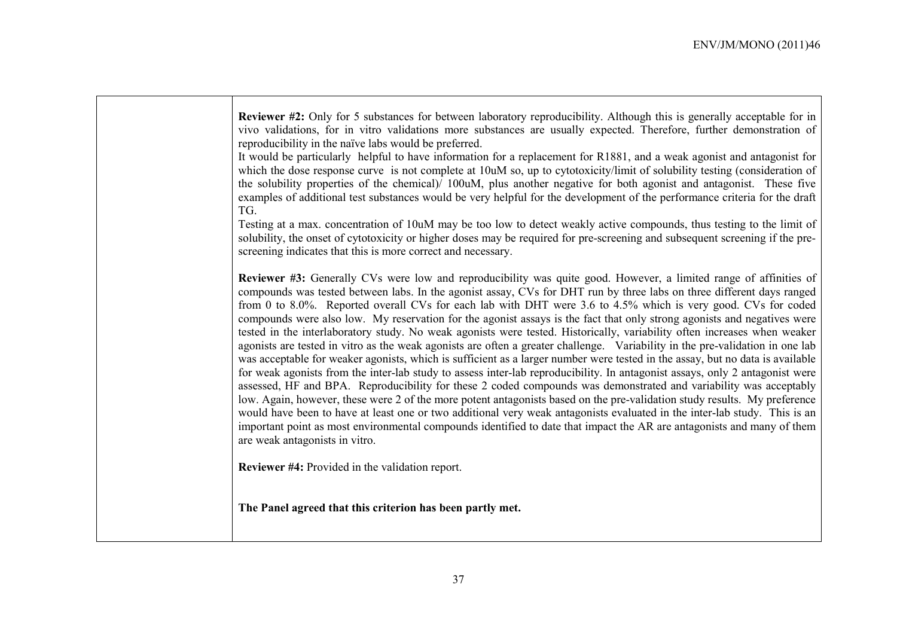**Reviewer #2:** Only for 5 substances for between laboratory reproducibility. Although this is generally acceptable for in vivo validations, for in vitro validations more substances are usually expected. Therefore, further demonstration of reproducibility in the naïve labs would be preferred. It would be particularly helpful to have information for a replacement for R1881, and a weak agonist and antagonist for which the dose response curve is not complete at 10uM so, up to cytotoxicity/limit of solubility testing (consideration of the solubility properties of the chemical)/ 100uM, plus another negative for both agonist and antagonist. These five examples of additional test substances would be very helpful for the development of the performance criteria for the draft TG. Testing at a max. concentration of 10uM may be too low to detect weakly active compounds, thus testing to the limit of solubility, the onset of cytotoxicity or higher doses may be required for pre-screening and subsequent screening if the prescreening indicates that this is more correct and necessary. **Reviewer #3:** Generally CVs were low and reproducibility was quite good. However, a limited range of affinities of compounds was tested between labs. In the agonist assay, CVs for DHT run by three labs on three different days ranged from 0 to 8.0%. Reported overall CVs for each lab with DHT were 3.6 to 4.5% which is very good. CVs for coded compounds were also low. My reservation for the agonist assays is the fact that only strong agonists and negatives were tested in the interlaboratory study. No weak agonists were tested. Historically, variability often increases when weaker agonists are tested in vitro as the weak agonists are often a greater challenge. Variability in the pre-validation in one lab was acceptable for weaker agonists, which is sufficient as a larger number were tested in the assay, but no data is available for weak agonists from the inter-lab study to assess inter-lab reproducibility. In antagonist assays, only 2 antagonist were assessed, HF and BPA. Reproducibility for these 2 coded compounds was demonstrated and variability was acceptably low. Again, however, these were 2 of the more potent antagonists based on the pre-validation study results. My preference would have been to have at least one or two additional very weak antagonists evaluated in the inter-lab study. This is an important point as most environmental compounds identified to date that impact the AR are antagonists and many of them are weak antagonists in vitro. **Reviewer #4:** Provided in the validation report. **The Panel agreed that this criterion has been partly met.**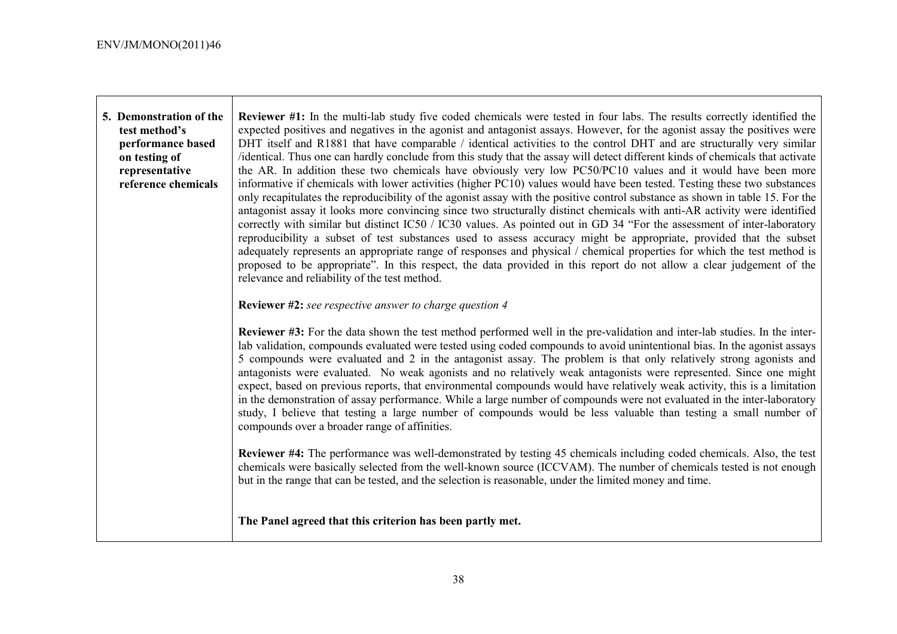| 5. Demonstration of the<br>test method's<br>performance based<br>on testing of<br>representative<br>reference chemicals | <b>Reviewer #1:</b> In the multi-lab study five coded chemicals were tested in four labs. The results correctly identified the<br>expected positives and negatives in the agonist and antagonist assays. However, for the agonist assay the positives were<br>DHT itself and R1881 that have comparable / identical activities to the control DHT and are structurally very similar<br>identical. Thus one can hardly conclude from this study that the assay will detect different kinds of chemicals that activate<br>the AR. In addition these two chemicals have obviously very low PC50/PC10 values and it would have been more<br>informative if chemicals with lower activities (higher PC10) values would have been tested. Testing these two substances<br>only recapitulates the reproducibility of the agonist assay with the positive control substance as shown in table 15. For the<br>antagonist assay it looks more convincing since two structurally distinct chemicals with anti-AR activity were identified<br>correctly with similar but distinct IC50 / IC30 values. As pointed out in GD 34 "For the assessment of inter-laboratory<br>reproducibility a subset of test substances used to assess accuracy might be appropriate, provided that the subset<br>adequately represents an appropriate range of responses and physical / chemical properties for which the test method is<br>proposed to be appropriate". In this respect, the data provided in this report do not allow a clear judgement of the<br>relevance and reliability of the test method. |
|-------------------------------------------------------------------------------------------------------------------------|-------------------------------------------------------------------------------------------------------------------------------------------------------------------------------------------------------------------------------------------------------------------------------------------------------------------------------------------------------------------------------------------------------------------------------------------------------------------------------------------------------------------------------------------------------------------------------------------------------------------------------------------------------------------------------------------------------------------------------------------------------------------------------------------------------------------------------------------------------------------------------------------------------------------------------------------------------------------------------------------------------------------------------------------------------------------------------------------------------------------------------------------------------------------------------------------------------------------------------------------------------------------------------------------------------------------------------------------------------------------------------------------------------------------------------------------------------------------------------------------------------------------------------------------------------------------------------------|
|                                                                                                                         | <b>Reviewer #2:</b> see respective answer to charge question 4<br><b>Reviewer #3:</b> For the data shown the test method performed well in the pre-validation and inter-lab studies. In the inter-                                                                                                                                                                                                                                                                                                                                                                                                                                                                                                                                                                                                                                                                                                                                                                                                                                                                                                                                                                                                                                                                                                                                                                                                                                                                                                                                                                                  |
|                                                                                                                         | lab validation, compounds evaluated were tested using coded compounds to avoid unintentional bias. In the agonist assays<br>5 compounds were evaluated and 2 in the antagonist assay. The problem is that only relatively strong agonists and<br>antagonists were evaluated. No weak agonists and no relatively weak antagonists were represented. Since one might<br>expect, based on previous reports, that environmental compounds would have relatively weak activity, this is a limitation<br>in the demonstration of assay performance. While a large number of compounds were not evaluated in the inter-laboratory<br>study, I believe that testing a large number of compounds would be less valuable than testing a small number of<br>compounds over a broader range of affinities.                                                                                                                                                                                                                                                                                                                                                                                                                                                                                                                                                                                                                                                                                                                                                                                      |
|                                                                                                                         | <b>Reviewer #4:</b> The performance was well-demonstrated by testing 45 chemicals including coded chemicals. Also, the test<br>chemicals were basically selected from the well-known source (ICCVAM). The number of chemicals tested is not enough<br>but in the range that can be tested, and the selection is reasonable, under the limited money and time.                                                                                                                                                                                                                                                                                                                                                                                                                                                                                                                                                                                                                                                                                                                                                                                                                                                                                                                                                                                                                                                                                                                                                                                                                       |
|                                                                                                                         | The Panel agreed that this criterion has been partly met.                                                                                                                                                                                                                                                                                                                                                                                                                                                                                                                                                                                                                                                                                                                                                                                                                                                                                                                                                                                                                                                                                                                                                                                                                                                                                                                                                                                                                                                                                                                           |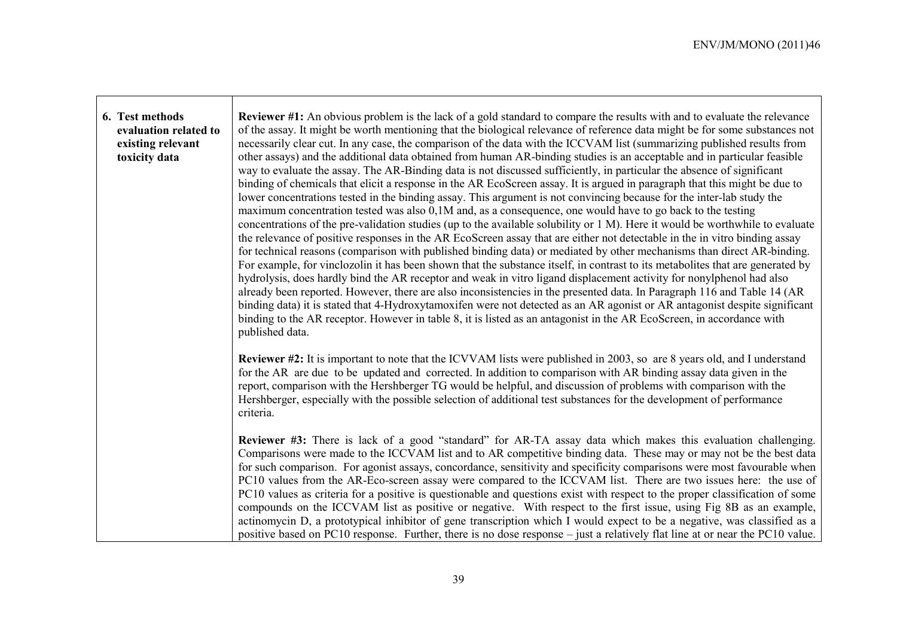#### **6. Test methods evaluation related to existing relevant**

 **toxicity data**

**Reviewer #1:** An obvious problem is the lack of a gold standard to compare the results with and to evaluate the relevance of the assay. It might be worth mentioning that the biological relevance of reference data might be for some substances not necessarily clear cut. In any case, the comparison of the data with the ICCVAM list (summarizing published results from other assays) and the additional data obtained from human AR-binding studies is an acceptable and in particular feasible way to evaluate the assay. The AR-Binding data is not discussed sufficiently, in particular the absence of significant binding of chemicals that elicit a response in the AR EcoScreen assay. It is argued in paragraph that this might be due to lower concentrations tested in the binding assay. This argument is not convincing because for the inter-lab study the maximum concentration tested was also 0,1M and, as a consequence, one would have to go back to the testing concentrations of the pre-validation studies (up to the available solubility or 1 M). Here it would be worthwhile to evaluate the relevance of positive responses in the AR EcoScreen assay that are either not detectable in the in vitro binding assay for technical reasons (comparison with published binding data) or mediated by other mechanisms than direct AR-binding. For example, for vinclozolin it has been shown that the substance itself, in contrast to its metabolites that are generated by hydrolysis, does hardly bind the AR receptor and weak in vitro ligand displacement activity for nonylphenol had also already been reported. However, there are also inconsistencies in the presented data. In Paragraph 116 and Table 14 (AR binding data) it is stated that 4-Hydroxytamoxifen were not detected as an AR agonist or AR antagonist despite significant binding to the AR receptor. However in table 8, it is listed as an antagonist in the AR EcoScreen, in accordance with published data.

**Reviewer #2:** It is important to note that the ICVVAM lists were published in 2003, so are 8 years old, and I understand for the AR are due to be updated and corrected. In addition to comparison with AR binding assay data given in the report, comparison with the Hershberger TG would be helpful, and discussion of problems with comparison with the Hershberger, especially with the possible selection of additional test substances for the development of performance criteria.

**Reviewer #3:** There is lack of a good "standard" for AR-TA assay data which makes this evaluation challenging. Comparisons were made to the ICCVAM list and to AR competitive binding data. These may or may not be the best data for such comparison. For agonist assays, concordance, sensitivity and specificity comparisons were most favourable when PC10 values from the AR-Eco-screen assay were compared to the ICCVAM list. There are two issues here: the use of PC10 values as criteria for a positive is questionable and questions exist with respect to the proper classification of some compounds on the ICCVAM list as positive or negative. With respect to the first issue, using Fig 8B as an example, actinomycin D, a prototypical inhibitor of gene transcription which I would expect to be a negative, was classified as a positive based on PC10 response. Further, there is no dose response – just a relatively flat line at or near the PC10 value.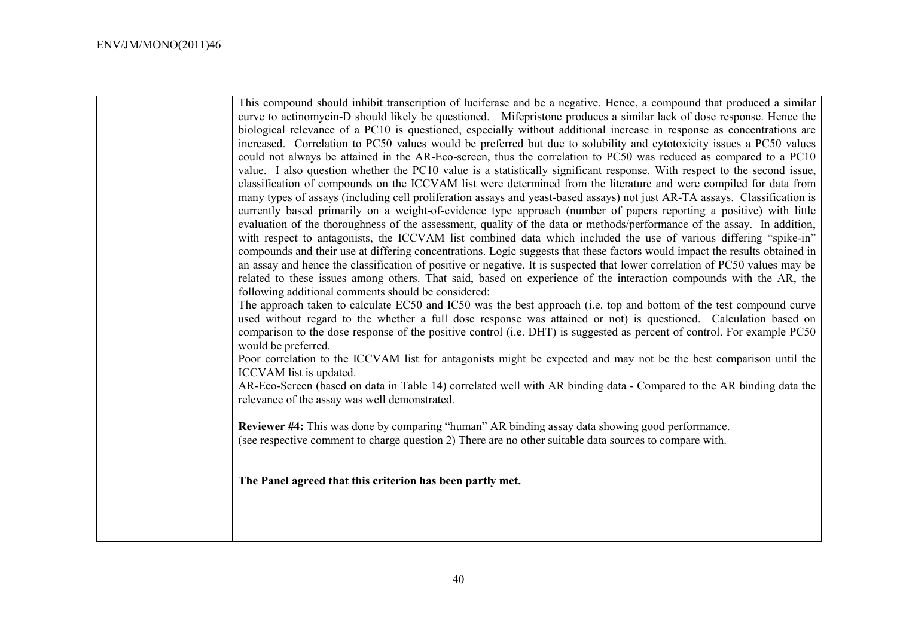This compound should inhibit transcription of luciferase and be a negative. Hence, a compound that produced a similar curve to actinomycin-D should likely be questioned. Mifepristone produces a similar lack of dose response. Hence the biological relevance of a PC10 is questioned, especially without additional increase in response as concentrations are increased. Correlation to PC50 values would be preferred but due to solubility and cytotoxicity issues a PC50 values could not always be attained in the AR-Eco-screen, thus the correlation to PC50 was reduced as compared to a PC10 value. I also question whether the PC10 value is a statistically significant response. With respect to the second issue, classification of compounds on the ICCVAM list were determined from the literature and were compiled for data from many types of assays (including cell proliferation assays and yeast-based assays) not just AR-TA assays. Classification is currently based primarily on a weight-of-evidence type approach (number of papers reporting a positive) with little evaluation of the thoroughness of the assessment, quality of the data or methods/performance of the assay. In addition, with respect to antagonists, the ICCVAM list combined data which included the use of various differing "spike-in" compounds and their use at differing concentrations. Logic suggests that these factors would impact the results obtained in an assay and hence the classification of positive or negative. It is suspected that lower correlation of PC50 values may be related to these issues among others. That said, based on experience of the interaction compounds with the AR, the following additional comments should be considered: The approach taken to calculate EC50 and IC50 was the best approach (i.e. top and bottom of the test compound curve used without regard to the whether a full dose response was attained or not) is questioned. Calculation based on comparison to the dose response of the positive control (i.e. DHT) is suggested as percent of control. For example PC50 would be preferred. Poor correlation to the ICCVAM list for antagonists might be expected and may not be the best comparison until the ICCVAM list is updated. AR-Eco-Screen (based on data in Table 14) correlated well with AR binding data - Compared to the AR binding data the relevance of the assay was well demonstrated. **Reviewer #4:** This was done by comparing "human" AR binding assay data showing good performance. (see respective comment to charge question 2) There are no other suitable data sources to compare with. **The Panel agreed that this criterion has been partly met.**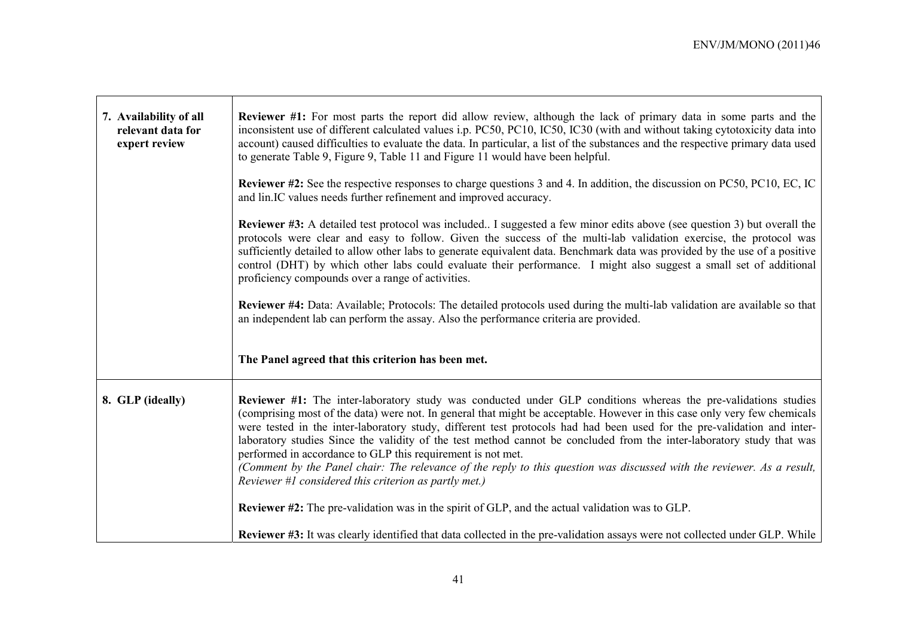| 7. Availability of all<br>relevant data for<br>expert review | <b>Reviewer #1:</b> For most parts the report did allow review, although the lack of primary data in some parts and the<br>inconsistent use of different calculated values i.p. PC50, PC10, IC50, IC30 (with and without taking cytotoxicity data into<br>account) caused difficulties to evaluate the data. In particular, a list of the substances and the respective primary data used<br>to generate Table 9, Figure 9, Table 11 and Figure 11 would have been helpful.                                                                                                                                                                                                                                                                              |  |
|--------------------------------------------------------------|----------------------------------------------------------------------------------------------------------------------------------------------------------------------------------------------------------------------------------------------------------------------------------------------------------------------------------------------------------------------------------------------------------------------------------------------------------------------------------------------------------------------------------------------------------------------------------------------------------------------------------------------------------------------------------------------------------------------------------------------------------|--|
|                                                              | Reviewer #2: See the respective responses to charge questions 3 and 4. In addition, the discussion on PC50, PC10, EC, IC<br>and lin.IC values needs further refinement and improved accuracy.                                                                                                                                                                                                                                                                                                                                                                                                                                                                                                                                                            |  |
|                                                              | <b>Reviewer #3:</b> A detailed test protocol was included I suggested a few minor edits above (see question 3) but overall the<br>protocols were clear and easy to follow. Given the success of the multi-lab validation exercise, the protocol was<br>sufficiently detailed to allow other labs to generate equivalent data. Benchmark data was provided by the use of a positive<br>control (DHT) by which other labs could evaluate their performance. I might also suggest a small set of additional<br>proficiency compounds over a range of activities.                                                                                                                                                                                            |  |
|                                                              | <b>Reviewer #4:</b> Data: Available; Protocols: The detailed protocols used during the multi-lab validation are available so that<br>an independent lab can perform the assay. Also the performance criteria are provided.                                                                                                                                                                                                                                                                                                                                                                                                                                                                                                                               |  |
|                                                              | The Panel agreed that this criterion has been met.                                                                                                                                                                                                                                                                                                                                                                                                                                                                                                                                                                                                                                                                                                       |  |
| 8. GLP (ideally)                                             | <b>Reviewer #1:</b> The inter-laboratory study was conducted under GLP conditions whereas the pre-validations studies<br>(comprising most of the data) were not. In general that might be acceptable. However in this case only very few chemicals<br>were tested in the inter-laboratory study, different test protocols had had been used for the pre-validation and inter-<br>laboratory studies Since the validity of the test method cannot be concluded from the inter-laboratory study that was<br>performed in accordance to GLP this requirement is not met.<br>(Comment by the Panel chair: The relevance of the reply to this question was discussed with the reviewer. As a result,<br>Reviewer #1 considered this criterion as partly met.) |  |
|                                                              | <b>Reviewer #2:</b> The pre-validation was in the spirit of GLP, and the actual validation was to GLP.                                                                                                                                                                                                                                                                                                                                                                                                                                                                                                                                                                                                                                                   |  |
|                                                              | <b>Reviewer #3:</b> It was clearly identified that data collected in the pre-validation assays were not collected under GLP. While                                                                                                                                                                                                                                                                                                                                                                                                                                                                                                                                                                                                                       |  |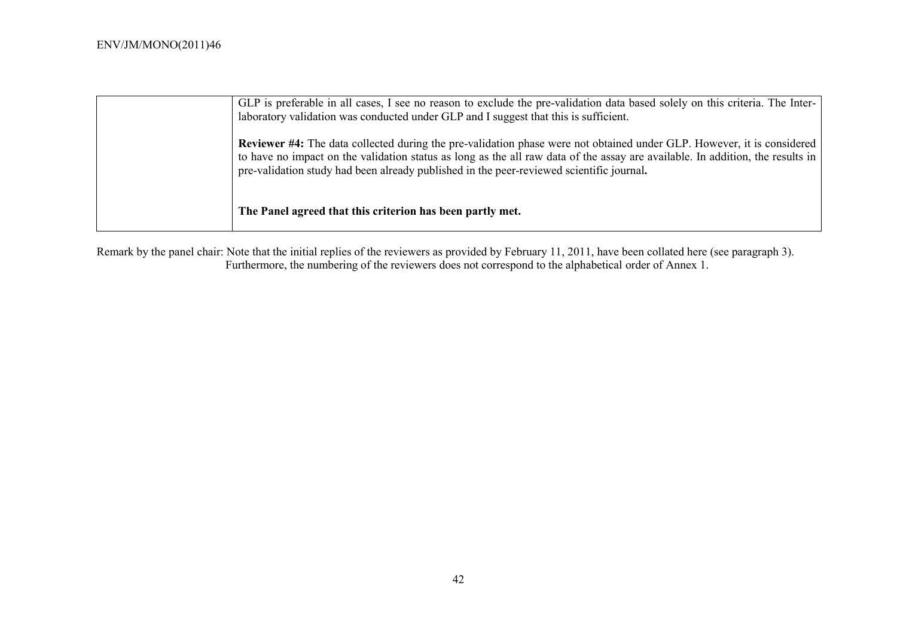| GLP is preferable in all cases, I see no reason to exclude the pre-validation data based solely on this criteria. The Inter-<br>laboratory validation was conducted under GLP and I suggest that this is sufficient.                                                                                                                                        |
|-------------------------------------------------------------------------------------------------------------------------------------------------------------------------------------------------------------------------------------------------------------------------------------------------------------------------------------------------------------|
| <b>Reviewer #4:</b> The data collected during the pre-validation phase were not obtained under GLP. However, it is considered<br>to have no impact on the validation status as long as the all raw data of the assay are available. In addition, the results in<br>pre-validation study had been already published in the peer-reviewed scientific journal. |
| The Panel agreed that this criterion has been partly met.                                                                                                                                                                                                                                                                                                   |

Remark by the panel chair: Note that the initial replies of the reviewers as provided by February 11, 2011, have been collated here (see paragraph 3). Furthermore, the numbering of the reviewers does not correspond to the alphabetical order of Annex 1.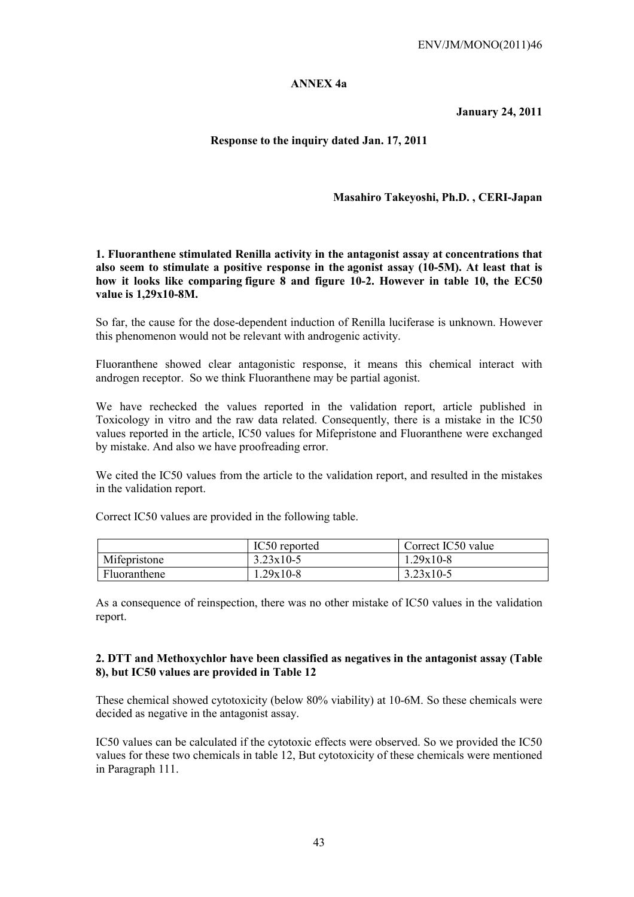#### **ANNEX 4a**

**January 24, 2011** 

#### **Response to the inquiry dated Jan. 17, 2011**

**Masahiro Takeyoshi, Ph.D. , CERI-Japan** 

**1. Fluoranthene stimulated Renilla activity in the antagonist assay at concentrations that also seem to stimulate a positive response in the agonist assay (10-5M). At least that is how it looks like comparing figure 8 and figure 10-2. However in table 10, the EC50 value is 1,29x10-8M.** 

So far, the cause for the dose-dependent induction of Renilla luciferase is unknown. However this phenomenon would not be relevant with androgenic activity.

Fluoranthene showed clear antagonistic response, it means this chemical interact with androgen receptor. So we think Fluoranthene may be partial agonist.

We have rechecked the values reported in the validation report, article published in Toxicology in vitro and the raw data related. Consequently, there is a mistake in the IC50 values reported in the article, IC50 values for Mifepristone and Fluoranthene were exchanged by mistake. And also we have proofreading error.

We cited the IC50 values from the article to the validation report, and resulted in the mistakes in the validation report.

|              | IC50 reported        | Correct IC50 value |
|--------------|----------------------|--------------------|
| Mifepristone | $3.23 \times 10 - 5$ | $1.29x10-8$        |
| Fluoranthene | 1.29x10-8            | $3.23x10-5$        |

Correct IC50 values are provided in the following table.

As a consequence of reinspection, there was no other mistake of IC50 values in the validation report.

#### **2. DTT and Methoxychlor have been classified as negatives in the antagonist assay (Table 8), but IC50 values are provided in Table 12**

These chemical showed cytotoxicity (below 80% viability) at 10-6M. So these chemicals were decided as negative in the antagonist assay.

IC50 values can be calculated if the cytotoxic effects were observed. So we provided the IC50 values for these two chemicals in table 12, But cytotoxicity of these chemicals were mentioned in Paragraph 111.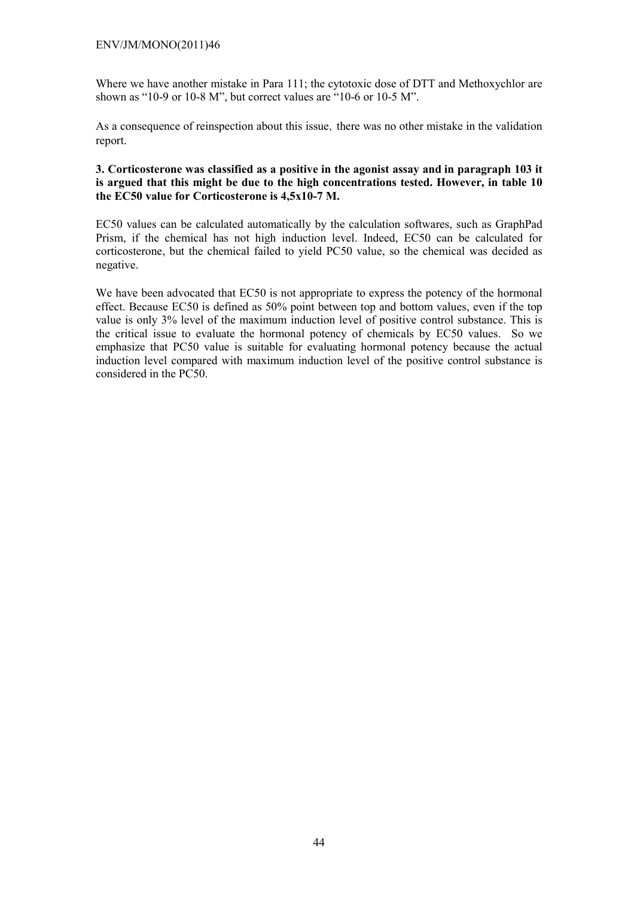#### ENV/JM/MONO(2011)46

Where we have another mistake in Para 111; the cytotoxic dose of DTT and Methoxychlor are shown as "10-9 or 10-8 M", but correct values are "10-6 or 10-5 M".

As a consequence of reinspection about this issue, there was no other mistake in the validation report.

#### **3. Corticosterone was classified as a positive in the agonist assay and in paragraph 103 it is argued that this might be due to the high concentrations tested. However, in table 10 the EC50 value for Corticosterone is 4,5x10-7 M.**

EC50 values can be calculated automatically by the calculation softwares, such as GraphPad Prism, if the chemical has not high induction level. Indeed, EC50 can be calculated for corticosterone, but the chemical failed to yield PC50 value, so the chemical was decided as negative.

We have been advocated that EC50 is not appropriate to express the potency of the hormonal effect. Because EC50 is defined as 50% point between top and bottom values, even if the top value is only 3% level of the maximum induction level of positive control substance. This is the critical issue to evaluate the hormonal potency of chemicals by EC50 values. So we emphasize that PC50 value is suitable for evaluating hormonal potency because the actual induction level compared with maximum induction level of the positive control substance is considered in the PC50.